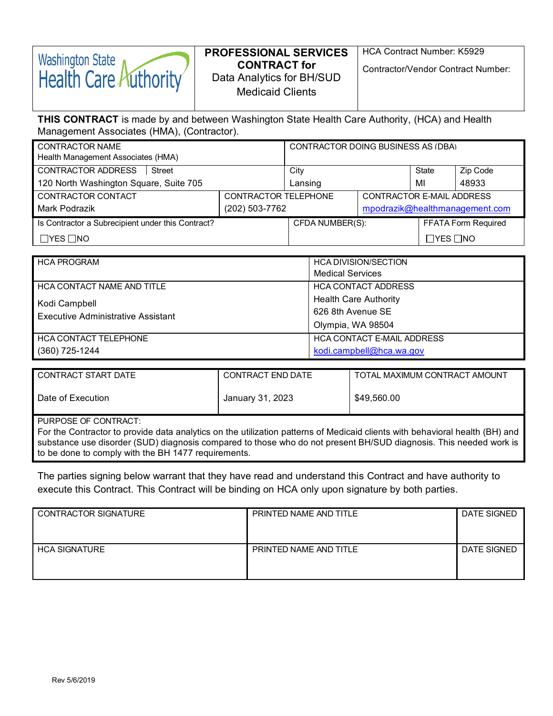# **Washington State** Health Care Authority

## **PROFESSIONAL SERVICES CONTRACT for** Data Analytics for BH/SUD Medicaid Clients

HCA Contract Number: K5929

Contractor/Vendor Contract Number:

## **THIS CONTRACT** is made by and between Washington State Health Care Authority, (HCA) and Health Management Associates (HMA), (Contractor).

| <b>CONTRACTOR NAME</b>                            |  | CONTRACTOR DOING BUSINESS AS (DBA) |  |                      |                            |
|---------------------------------------------------|--|------------------------------------|--|----------------------|----------------------------|
| Health Management Associates (HMA)                |  |                                    |  |                      |                            |
| <b>CONTRACTOR ADDRESS</b><br>Street               |  | City                               |  | State                | Zip Code                   |
| 120 North Washington Square, Suite 705            |  | Lansing                            |  | MI                   | 48933                      |
| CONTRACTOR CONTACT<br>CONTRACTOR TELEPHONE        |  | CONTRACTOR E-MAIL ADDRESS          |  |                      |                            |
| (202) 503-7762<br>Mark Podrazik                   |  | mpodrazik@healthmanagement.com     |  |                      |                            |
| Is Contractor a Subrecipient under this Contract? |  | CFDA NUMBER(S):                    |  |                      | <b>FFATA Form Required</b> |
| $\Box$ YES $\Box$ NO                              |  |                                    |  | $\Box$ YES $\Box$ NO |                            |

| <b>HCA PROGRAM</b>                        | <b>HCA DIVISION/SECTION</b>       |
|-------------------------------------------|-----------------------------------|
|                                           | <b>Medical Services</b>           |
| <b>HCA CONTACT NAME AND TITLE</b>         | <b>HCA CONTACT ADDRESS</b>        |
| Kodi Campbell                             | <b>Health Care Authority</b>      |
| <b>Executive Administrative Assistant</b> | 626 8th Avenue SE                 |
|                                           | Olympia, WA 98504                 |
| <b>HCA CONTACT TELEPHONE</b>              | <b>HCA CONTACT E-MAIL ADDRESS</b> |
| (360) 725-1244                            | kodi.campbell@hca.wa.gov          |

| CONTRACT START DATE | CONTRACT END DATE | TOTAL MAXIMUM CONTRACT AMOUNT |
|---------------------|-------------------|-------------------------------|
| Date of Execution   | January 31, 2023  | \$49,560.00                   |

PURPOSE OF CONTRACT:

For the Contractor to provide data analytics on the utilization patterns of Medicaid clients with behavioral health (BH) and substance use disorder (SUD) diagnosis compared to those who do not present BH/SUD diagnosis. This needed work is to be done to comply with the BH 1477 requirements.

The parties signing below warrant that they have read and understand this Contract and have authority to execute this Contract. This Contract will be binding on HCA only upon signature by both parties.

| <b>CONTRACTOR SIGNATURE</b> | PRINTED NAME AND TITLE | DATE SIGNED |
|-----------------------------|------------------------|-------------|
| <b>HCA SIGNATURE</b>        | PRINTED NAME AND TITLE | DATE SIGNED |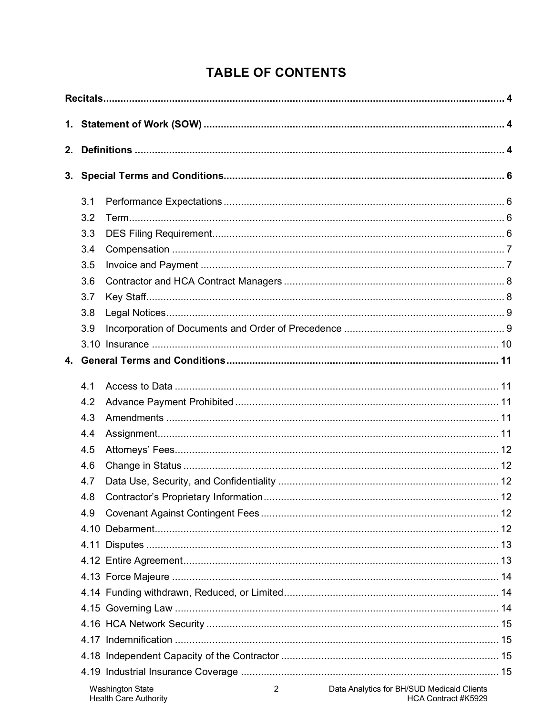## **TABLE OF CONTENTS**

| 2. |     |                                                                                         |  |
|----|-----|-----------------------------------------------------------------------------------------|--|
|    |     |                                                                                         |  |
|    |     |                                                                                         |  |
|    | 3.1 |                                                                                         |  |
|    | 3.2 |                                                                                         |  |
|    | 3.3 |                                                                                         |  |
|    | 3.4 |                                                                                         |  |
|    | 3.5 |                                                                                         |  |
|    | 3.6 |                                                                                         |  |
|    | 3.7 |                                                                                         |  |
|    | 3.8 |                                                                                         |  |
|    | 3.9 |                                                                                         |  |
|    |     |                                                                                         |  |
|    |     |                                                                                         |  |
|    |     |                                                                                         |  |
|    | 4 1 |                                                                                         |  |
|    | 4.2 |                                                                                         |  |
|    | 4.3 |                                                                                         |  |
|    | 4.4 |                                                                                         |  |
|    | 4.5 |                                                                                         |  |
|    | 4.6 |                                                                                         |  |
|    | 4.7 |                                                                                         |  |
|    | 4.8 |                                                                                         |  |
|    | 4.9 |                                                                                         |  |
|    |     |                                                                                         |  |
|    |     |                                                                                         |  |
|    |     |                                                                                         |  |
|    |     |                                                                                         |  |
|    |     |                                                                                         |  |
|    |     |                                                                                         |  |
|    |     |                                                                                         |  |
|    |     |                                                                                         |  |
|    |     |                                                                                         |  |
|    |     |                                                                                         |  |
|    |     | Data Analytics for BH/SUD Medicaid Clients<br><b>Washington State</b><br>$\overline{2}$ |  |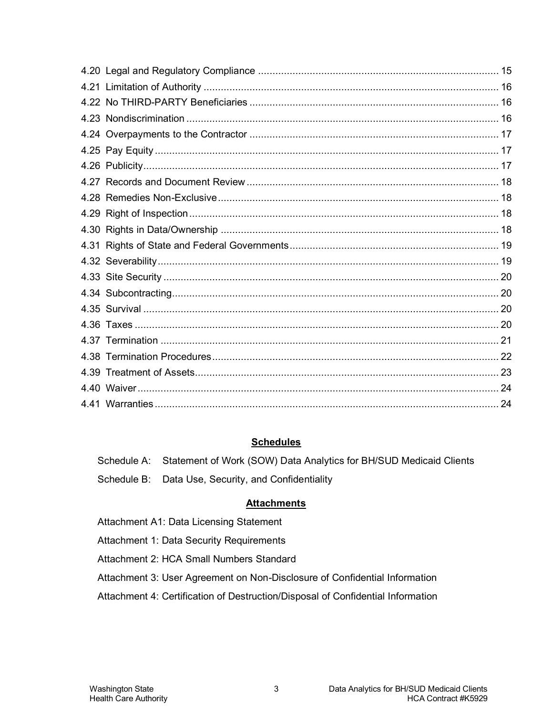#### **Schedules**

|  | Schedule A: Statement of Work (SOW) Data Analytics for BH/SUD Medicaid Clients |  |  |  |  |
|--|--------------------------------------------------------------------------------|--|--|--|--|
|--|--------------------------------------------------------------------------------|--|--|--|--|

Schedule B: Data Use, Security, and Confidentiality

## **Attachments**

Attachment A1: Data Licensing Statement

Attachment 1: Data Security Requirements

Attachment 2: HCA Small Numbers Standard

Attachment 3: User Agreement on Non-Disclosure of Confidential Information

Attachment 4: Certification of Destruction/Disposal of Confidential Information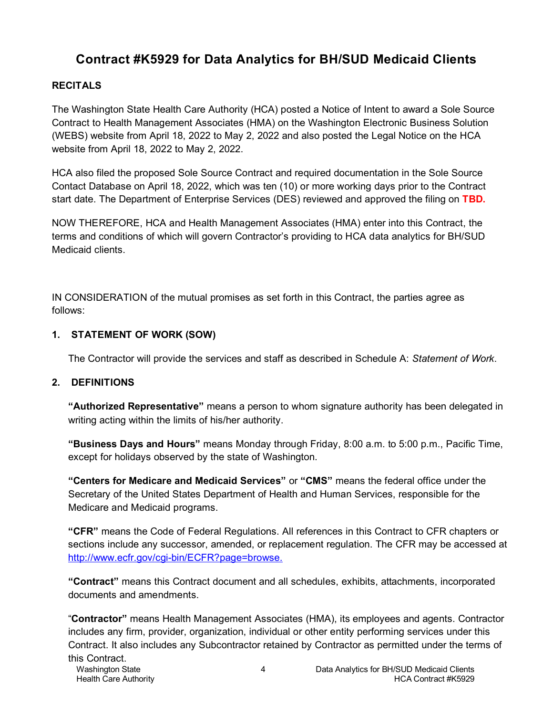## **Contract #K5929 for Data Analytics for BH/SUD Medicaid Clients**

## <span id="page-3-0"></span>**RECITALS**

The Washington State Health Care Authority (HCA) posted a Notice of Intent to award a Sole Source Contract to Health Management Associates (HMA) on the Washington Electronic Business Solution (WEBS) website from April 18, 2022 to May 2, 2022 and also posted the Legal Notice on the HCA website from April 18, 2022 to May 2, 2022.

HCA also filed the proposed Sole Source Contract and required documentation in the Sole Source Contact Database on April 18, 2022, which was ten (10) or more working days prior to the Contract start date. The Department of Enterprise Services (DES) reviewed and approved the filing on **TBD.**

NOW THEREFORE, HCA and Health Management Associates (HMA) enter into this Contract, the terms and conditions of which will govern Contractor's providing to HCA data analytics for BH/SUD Medicaid clients.

IN CONSIDERATION of the mutual promises as set forth in this Contract, the parties agree as follows:

#### <span id="page-3-1"></span>**1. STATEMENT OF WORK (SOW)**

The Contractor will provide the services and staff as described in Schedule A: *Statement of Work*.

## <span id="page-3-2"></span>**2. DEFINITIONS**

**"Authorized Representative"** means a person to whom signature authority has been delegated in writing acting within the limits of his/her authority.

**"Business Days and Hours"** means Monday through Friday, 8:00 a.m. to 5:00 p.m., Pacific Time, except for holidays observed by the state of Washington.

**"Centers for Medicare and Medicaid Services"** or **"CMS"** means the federal office under the Secretary of the United States Department of Health and Human Services, responsible for the Medicare and Medicaid programs.

**"CFR"** means the Code of Federal Regulations. All references in this Contract to CFR chapters or sections include any successor, amended, or replacement regulation. The CFR may be accessed at [http://www.ecfr.gov/cgi-bin/ECFR?page=browse.](http://www.ecfr.gov/cgi-bin/ECFR?page=browse)

**"Contract"** means this Contract document and all schedules, exhibits, attachments, incorporated documents and amendments.

"**Contractor"** means Health Management Associates (HMA), its employees and agents. Contractor includes any firm, provider, organization, individual or other entity performing services under this Contract. It also includes any Subcontractor retained by Contractor as permitted under the terms of this Contract.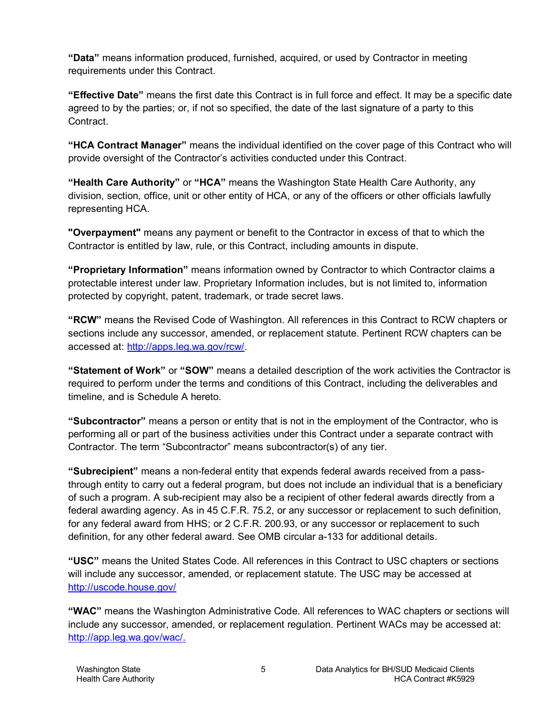**"Data"** means information produced, furnished, acquired, or used by Contractor in meeting requirements under this Contract.

**"Effective Date"** means the first date this Contract is in full force and effect. It may be a specific date agreed to by the parties; or, if not so specified, the date of the last signature of a party to this Contract.

**"HCA Contract Manager"** means the individual identified on the cover page of this Contract who will provide oversight of the Contractor's activities conducted under this Contract.

**"Health Care Authority"** or **"HCA"** means the Washington State Health Care Authority, any division, section, office, unit or other entity of HCA, or any of the officers or other officials lawfully representing HCA.

**"Overpayment"** means any payment or benefit to the Contractor in excess of that to which the Contractor is entitled by law, rule, or this Contract, including amounts in dispute.

**"Proprietary Information"** means information owned by Contractor to which Contractor claims a protectable interest under law. Proprietary Information includes, but is not limited to, information protected by copyright, patent, trademark, or trade secret laws.

**"RCW"** means the Revised Code of Washington. All references in this Contract to RCW chapters or sections include any successor, amended, or replacement statute. Pertinent RCW chapters can be accessed at: [http://apps.leg.wa.gov/rcw/.](http://apps.leg.wa.gov/rcw/)

**"Statement of Work"** or **"SOW"** means a detailed description of the work activities the Contractor is required to perform under the terms and conditions of this Contract, including the deliverables and timeline, and is Schedule A hereto.

**"Subcontractor"** means a person or entity that is not in the employment of the Contractor, who is performing all or part of the business activities under this Contract under a separate contract with Contractor. The term "Subcontractor" means subcontractor(s) of any tier.

**"Subrecipient"** means a non-federal entity that expends federal awards received from a passthrough entity to carry out a federal program, but does not include an individual that is a beneficiary of such a program. A sub-recipient may also be a recipient of other federal awards directly from a federal awarding agency. As in 45 C.F.R. 75.2, or any successor or replacement to such definition, for any federal award from HHS; or 2 C.F.R. 200.93, or any successor or replacement to such definition, for any other federal award. See OMB circular a-133 for additional details.

**"USC"** means the United States Code. All references in this Contract to USC chapters or sections will include any successor, amended, or replacement statute. The USC may be accessed at <http://uscode.house.gov/>

**"WAC"** means the Washington Administrative Code. All references to WAC chapters or sections will include any successor, amended, or replacement regulation. Pertinent WACs may be accessed at: [http://app.leg.wa.gov/wac/.](http://app.leg.wa.gov/wac/)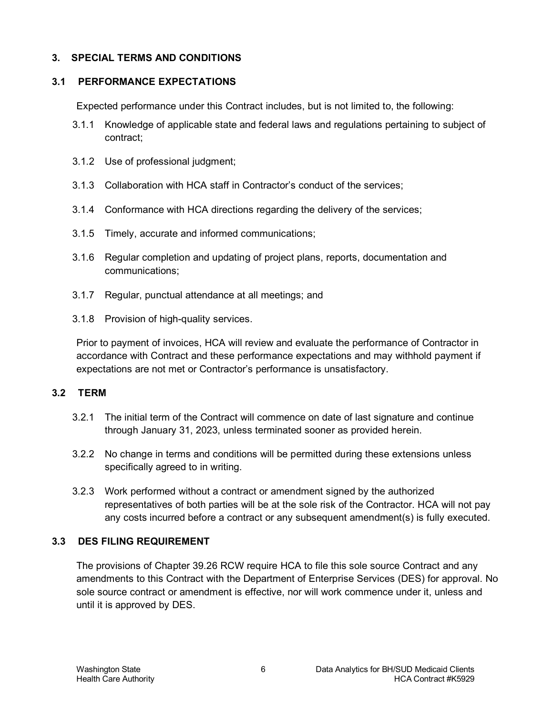### <span id="page-5-0"></span>**3. SPECIAL TERMS AND CONDITIONS**

#### <span id="page-5-1"></span>**3.1 PERFORMANCE EXPECTATIONS**

Expected performance under this Contract includes, but is not limited to, the following:

- 3.1.1 Knowledge of applicable state and federal laws and regulations pertaining to subject of contract;
- 3.1.2 Use of professional judgment;
- 3.1.3 Collaboration with HCA staff in Contractor's conduct of the services;
- 3.1.4 Conformance with HCA directions regarding the delivery of the services;
- 3.1.5 Timely, accurate and informed communications;
- 3.1.6 Regular completion and updating of project plans, reports, documentation and communications;
- 3.1.7 Regular, punctual attendance at all meetings; and
- 3.1.8 Provision of high-quality services.

Prior to payment of invoices, HCA will review and evaluate the performance of Contractor in accordance with Contract and these performance expectations and may withhold payment if expectations are not met or Contractor's performance is unsatisfactory.

## <span id="page-5-2"></span>**3.2 TERM**

- 3.2.1 The initial term of the Contract will commence on date of last signature and continue through January 31, 2023, unless terminated sooner as provided herein.
- 3.2.2 No change in terms and conditions will be permitted during these extensions unless specifically agreed to in writing.
- 3.2.3 Work performed without a contract or amendment signed by the authorized representatives of both parties will be at the sole risk of the Contractor. HCA will not pay any costs incurred before a contract or any subsequent amendment(s) is fully executed.

## <span id="page-5-3"></span>**3.3 DES FILING REQUIREMENT**

The provisions of Chapter 39.26 RCW require HCA to file this sole source Contract and any amendments to this Contract with the Department of Enterprise Services (DES) for approval. No sole source contract or amendment is effective, nor will work commence under it, unless and until it is approved by DES.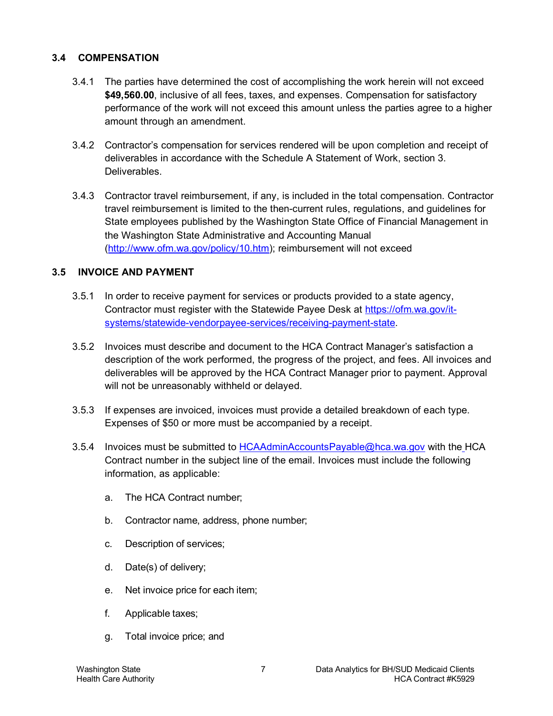### <span id="page-6-0"></span>**3.4 COMPENSATION**

- 3.4.1 The parties have determined the cost of accomplishing the work herein will not exceed **\$49,560.00**, inclusive of all fees, taxes, and expenses. Compensation for satisfactory performance of the work will not exceed this amount unless the parties agree to a higher amount through an amendment.
- 3.4.2 Contractor's compensation for services rendered will be upon completion and receipt of deliverables in accordance with the Schedule A Statement of Work, section 3. **Deliverables**
- 3.4.3 Contractor travel reimbursement, if any, is included in the total compensation. Contractor travel reimbursement is limited to the then-current rules, regulations, and guidelines for State employees published by the Washington State Office of Financial Management in the Washington State Administrative and Accounting Manual [\(http://www.ofm.wa.gov/policy/10.htm\)](http://www.ofm.wa.gov/policy/10.htm); reimbursement will not exceed

#### <span id="page-6-1"></span>**3.5 INVOICE AND PAYMENT**

- 3.5.1 In order to receive payment for services or products provided to a state agency, Contractor must register with the Statewide Payee Desk at [https://ofm.wa.gov/it](https://ofm.wa.gov/it-systems/statewide-vendorpayee-services/receiving-payment-state)[systems/statewide-vendorpayee-services/receiving-payment-state.](https://ofm.wa.gov/it-systems/statewide-vendorpayee-services/receiving-payment-state)
- 3.5.2 Invoices must describe and document to the HCA Contract Manager's satisfaction a description of the work performed, the progress of the project, and fees. All invoices and deliverables will be approved by the HCA Contract Manager prior to payment. Approval will not be unreasonably withheld or delayed.
- 3.5.3 If expenses are invoiced, invoices must provide a detailed breakdown of each type. Expenses of \$50 or more must be accompanied by a receipt.
- 3.5.4 Invoices must be submitted to [HCAAdminAccountsPayable@hca.wa.gov](mailto:HCAAdminAccountsPayable@hca.wa.gov) with the HCA Contract number in the subject line of the email. Invoices must include the following information, as applicable:
	- a. The HCA Contract number;
	- b. Contractor name, address, phone number;
	- c. Description of services;
	- d. Date(s) of delivery;
	- e. Net invoice price for each item;
	- f. Applicable taxes;
	- g. Total invoice price; and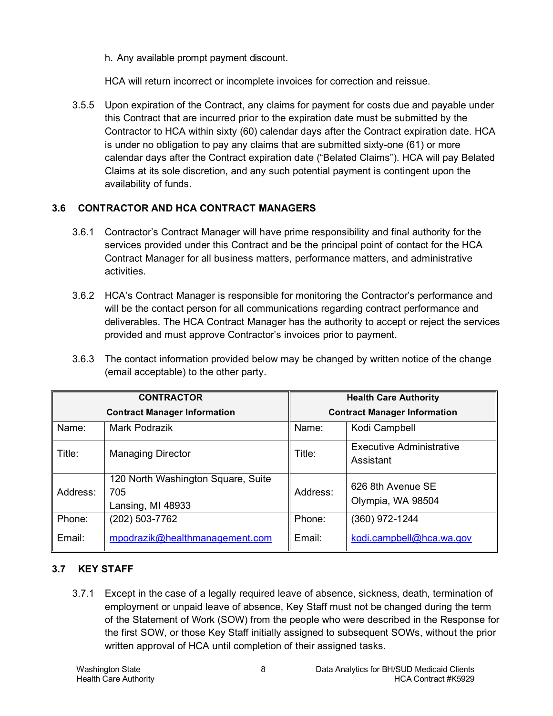h. Any available prompt payment discount.

HCA will return incorrect or incomplete invoices for correction and reissue.

3.5.5 Upon expiration of the Contract, any claims for payment for costs due and payable under this Contract that are incurred prior to the expiration date must be submitted by the Contractor to HCA within sixty (60) calendar days after the Contract expiration date. HCA is under no obligation to pay any claims that are submitted sixty-one (61) or more calendar days after the Contract expiration date ("Belated Claims"). HCA will pay Belated Claims at its sole discretion, and any such potential payment is contingent upon the availability of funds.

## <span id="page-7-0"></span>**3.6 CONTRACTOR AND HCA CONTRACT MANAGERS**

- 3.6.1 Contractor's Contract Manager will have prime responsibility and final authority for the services provided under this Contract and be the principal point of contact for the HCA Contract Manager for all business matters, performance matters, and administrative activities.
- 3.6.2 HCA's Contract Manager is responsible for monitoring the Contractor's performance and will be the contact person for all communications regarding contract performance and deliverables. The HCA Contract Manager has the authority to accept or reject the services provided and must approve Contractor's invoices prior to payment.
- 3.6.3 The contact information provided below may be changed by written notice of the change (email acceptable) to the other party.

| <b>CONTRACTOR</b> |                                                                | <b>Health Care Authority</b>        |                                              |
|-------------------|----------------------------------------------------------------|-------------------------------------|----------------------------------------------|
|                   | <b>Contract Manager Information</b>                            | <b>Contract Manager Information</b> |                                              |
| Name:             | Mark Podrazik                                                  | Name:                               | Kodi Campbell                                |
| Title:            | <b>Managing Director</b>                                       | Title:                              | <b>Executive Administrative</b><br>Assistant |
| Address:          | 120 North Washington Square, Suite<br>705<br>Lansing, MI 48933 | Address:                            | 626 8th Avenue SE<br>Olympia, WA 98504       |
| Phone:            | (202) 503-7762                                                 | Phone:                              | (360) 972-1244                               |
| Email:            | mpodrazik@healthmanagement.com                                 | Email:                              | kodi.campbell@hca.wa.gov                     |

## <span id="page-7-1"></span>**3.7 KEY STAFF**

3.7.1 Except in the case of a legally required leave of absence, sickness, death, termination of employment or unpaid leave of absence, Key Staff must not be changed during the term of the Statement of Work (SOW) from the people who were described in the Response for the first SOW, or those Key Staff initially assigned to subsequent SOWs, without the prior written approval of HCA until completion of their assigned tasks.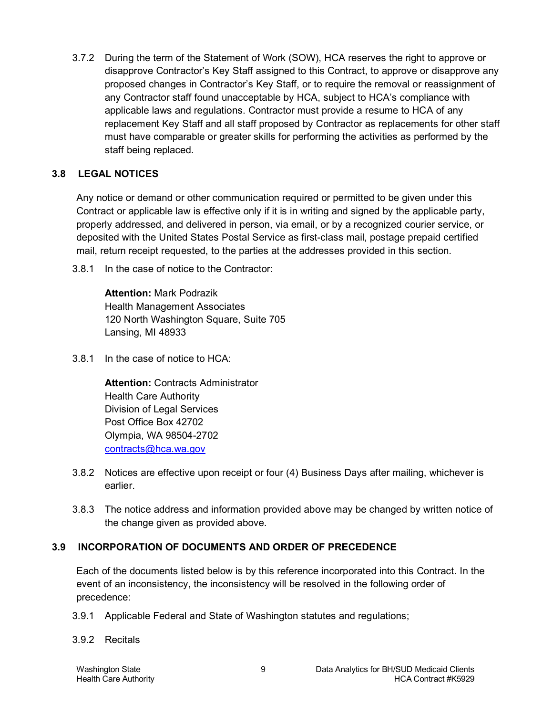3.7.2 During the term of the Statement of Work (SOW), HCA reserves the right to approve or disapprove Contractor's Key Staff assigned to this Contract, to approve or disapprove any proposed changes in Contractor's Key Staff, or to require the removal or reassignment of any Contractor staff found unacceptable by HCA, subject to HCA's compliance with applicable laws and regulations. Contractor must provide a resume to HCA of any replacement Key Staff and all staff proposed by Contractor as replacements for other staff must have comparable or greater skills for performing the activities as performed by the staff being replaced.

### <span id="page-8-0"></span>**3.8 LEGAL NOTICES**

Any notice or demand or other communication required or permitted to be given under this Contract or applicable law is effective only if it is in writing and signed by the applicable party, properly addressed, and delivered in person, via email, or by a recognized courier service, or deposited with the United States Postal Service as first-class mail, postage prepaid certified mail, return receipt requested, to the parties at the addresses provided in this section.

3.8.1 In the case of notice to the Contractor:

**Attention:** Mark Podrazik Health Management Associates 120 North Washington Square, Suite 705 Lansing, MI 48933

3.8.1 In the case of notice to HCA:

**Attention:** Contracts Administrator Health Care Authority Division of Legal Services Post Office Box 42702 Olympia, WA 98504-2702 [contracts@hca.wa.gov](mailto:contracts@hca.wa.gov) 

- 3.8.2 Notices are effective upon receipt or four (4) Business Days after mailing, whichever is earlier.
- 3.8.3 The notice address and information provided above may be changed by written notice of the change given as provided above.

## <span id="page-8-1"></span>**3.9 INCORPORATION OF DOCUMENTS AND ORDER OF PRECEDENCE**

Each of the documents listed below is by this reference incorporated into this Contract. In the event of an inconsistency, the inconsistency will be resolved in the following order of precedence:

- 3.9.1 Applicable Federal and State of Washington statutes and regulations;
- 3.9.2 Recitals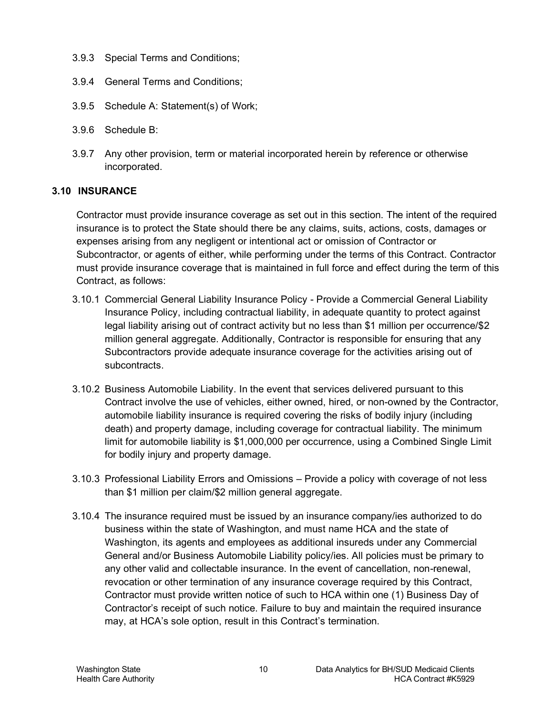- 3.9.3 Special Terms and Conditions;
- 3.9.4 General Terms and Conditions;
- 3.9.5 Schedule A: Statement(s) of Work;
- 3.9.6 Schedule B:
- 3.9.7 Any other provision, term or material incorporated herein by reference or otherwise incorporated.

## <span id="page-9-0"></span>**3.10 INSURANCE**

Contractor must provide insurance coverage as set out in this section. The intent of the required insurance is to protect the State should there be any claims, suits, actions, costs, damages or expenses arising from any negligent or intentional act or omission of Contractor or Subcontractor, or agents of either, while performing under the terms of this Contract. Contractor must provide insurance coverage that is maintained in full force and effect during the term of this Contract, as follows:

- 3.10.1 Commercial General Liability Insurance Policy Provide a Commercial General Liability Insurance Policy, including contractual liability, in adequate quantity to protect against legal liability arising out of contract activity but no less than \$1 million per occurrence/\$2 million general aggregate. Additionally, Contractor is responsible for ensuring that any Subcontractors provide adequate insurance coverage for the activities arising out of subcontracts.
- 3.10.2 Business Automobile Liability. In the event that services delivered pursuant to this Contract involve the use of vehicles, either owned, hired, or non-owned by the Contractor, automobile liability insurance is required covering the risks of bodily injury (including death) and property damage, including coverage for contractual liability. The minimum limit for automobile liability is \$1,000,000 per occurrence, using a Combined Single Limit for bodily injury and property damage.
- 3.10.3 Professional Liability Errors and Omissions Provide a policy with coverage of not less than \$1 million per claim/\$2 million general aggregate.
- 3.10.4 The insurance required must be issued by an insurance company/ies authorized to do business within the state of Washington, and must name HCA and the state of Washington, its agents and employees as additional insureds under any Commercial General and/or Business Automobile Liability policy/ies. All policies must be primary to any other valid and collectable insurance. In the event of cancellation, non-renewal, revocation or other termination of any insurance coverage required by this Contract, Contractor must provide written notice of such to HCA within one (1) Business Day of Contractor's receipt of such notice. Failure to buy and maintain the required insurance may, at HCA's sole option, result in this Contract's termination.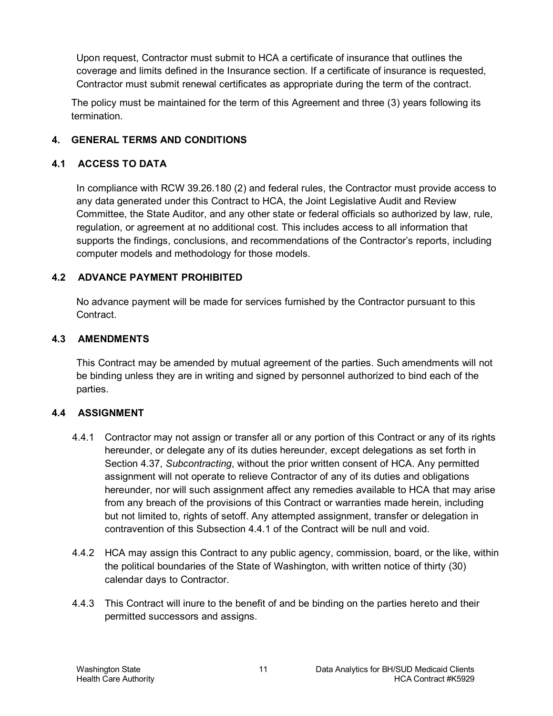Upon request, Contractor must submit to HCA a certificate of insurance that outlines the coverage and limits defined in the Insurance section. If a certificate of insurance is requested, Contractor must submit renewal certificates as appropriate during the term of the contract.

The policy must be maintained for the term of this Agreement and three (3) years following its termination.

## <span id="page-10-0"></span>**4. GENERAL TERMS AND CONDITIONS**

#### <span id="page-10-1"></span>**4.1 ACCESS TO DATA**

In compliance with RCW 39.26.180 (2) and federal rules, the Contractor must provide access to any data generated under this Contract to HCA, the Joint Legislative Audit and Review Committee, the State Auditor, and any other state or federal officials so authorized by law, rule, regulation, or agreement at no additional cost. This includes access to all information that supports the findings, conclusions, and recommendations of the Contractor's reports, including computer models and methodology for those models.

## <span id="page-10-2"></span>**4.2 ADVANCE PAYMENT PROHIBITED**

No advance payment will be made for services furnished by the Contractor pursuant to this Contract.

#### <span id="page-10-3"></span>**4.3 AMENDMENTS**

This Contract may be amended by mutual agreement of the parties. Such amendments will not be binding unless they are in writing and signed by personnel authorized to bind each of the parties.

## <span id="page-10-4"></span>**4.4 ASSIGNMENT**

- <span id="page-10-5"></span>4.4.1 Contractor may not assign or transfer all or any portion of this Contract or any of its rights hereunder, or delegate any of its duties hereunder, except delegations as set forth in Section [4.37,](#page-19-1) *Subcontracting*, without the prior written consent of HCA. Any permitted assignment will not operate to relieve Contractor of any of its duties and obligations hereunder, nor will such assignment affect any remedies available to HCA that may arise from any breach of the provisions of this Contract or warranties made herein, including but not limited to, rights of setoff. Any attempted assignment, transfer or delegation in contravention of this Subsection [4.4.1](#page-10-5) of the Contract will be null and void.
- 4.4.2 HCA may assign this Contract to any public agency, commission, board, or the like, within the political boundaries of the State of Washington, with written notice of thirty (30) calendar days to Contractor.
- 4.4.3 This Contract will inure to the benefit of and be binding on the parties hereto and their permitted successors and assigns.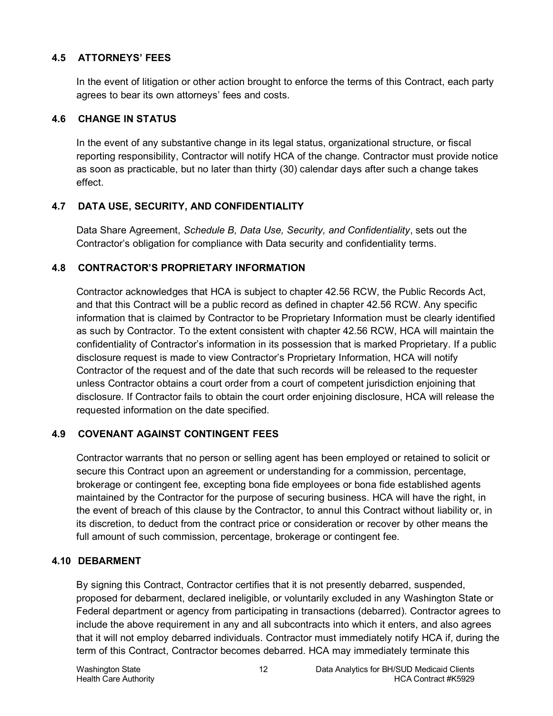### <span id="page-11-0"></span>**4.5 ATTORNEYS' FEES**

In the event of litigation or other action brought to enforce the terms of this Contract, each party agrees to bear its own attorneys' fees and costs.

#### <span id="page-11-1"></span>**4.6 CHANGE IN STATUS**

In the event of any substantive change in its legal status, organizational structure, or fiscal reporting responsibility, Contractor will notify HCA of the change. Contractor must provide notice as soon as practicable, but no later than thirty (30) calendar days after such a change takes effect.

## <span id="page-11-2"></span>**4.7 DATA USE, SECURITY, AND CONFIDENTIALITY**

Data Share Agreement, *Schedule B, Data Use, Security, and Confidentiality*, sets out the Contractor's obligation for compliance with Data security and confidentiality terms.

#### <span id="page-11-3"></span>**4.8 CONTRACTOR'S PROPRIETARY INFORMATION**

Contractor acknowledges that HCA is subject to chapter 42.56 RCW, the Public Records Act, and that this Contract will be a public record as defined in chapter 42.56 RCW. Any specific information that is claimed by Contractor to be Proprietary Information must be clearly identified as such by Contractor. To the extent consistent with chapter 42.56 RCW, HCA will maintain the confidentiality of Contractor's information in its possession that is marked Proprietary. If a public disclosure request is made to view Contractor's Proprietary Information, HCA will notify Contractor of the request and of the date that such records will be released to the requester unless Contractor obtains a court order from a court of competent jurisdiction enjoining that disclosure. If Contractor fails to obtain the court order enjoining disclosure, HCA will release the requested information on the date specified.

## <span id="page-11-4"></span>**4.9 COVENANT AGAINST CONTINGENT FEES**

Contractor warrants that no person or selling agent has been employed or retained to solicit or secure this Contract upon an agreement or understanding for a commission, percentage, brokerage or contingent fee, excepting bona fide employees or bona fide established agents maintained by the Contractor for the purpose of securing business. HCA will have the right, in the event of breach of this clause by the Contractor, to annul this Contract without liability or, in its discretion, to deduct from the contract price or consideration or recover by other means the full amount of such commission, percentage, brokerage or contingent fee.

## <span id="page-11-5"></span>**4.10 DEBARMENT**

By signing this Contract, Contractor certifies that it is not presently debarred, suspended, proposed for debarment, declared ineligible, or voluntarily excluded in any Washington State or Federal department or agency from participating in transactions (debarred). Contractor agrees to include the above requirement in any and all subcontracts into which it enters, and also agrees that it will not employ debarred individuals. Contractor must immediately notify HCA if, during the term of this Contract, Contractor becomes debarred. HCA may immediately terminate this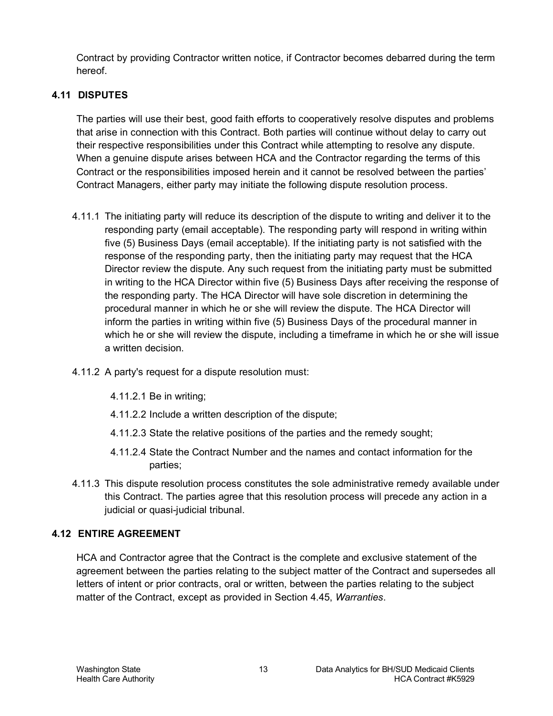Contract by providing Contractor written notice, if Contractor becomes debarred during the term hereof.

## <span id="page-12-0"></span>**4.11 DISPUTES**

The parties will use their best, good faith efforts to cooperatively resolve disputes and problems that arise in connection with this Contract. Both parties will continue without delay to carry out their respective responsibilities under this Contract while attempting to resolve any dispute. When a genuine dispute arises between HCA and the Contractor regarding the terms of this Contract or the responsibilities imposed herein and it cannot be resolved between the parties' Contract Managers, either party may initiate the following dispute resolution process.

- 4.11.1 The initiating party will reduce its description of the dispute to writing and deliver it to the responding party (email acceptable). The responding party will respond in writing within five (5) Business Days (email acceptable). If the initiating party is not satisfied with the response of the responding party, then the initiating party may request that the HCA Director review the dispute. Any such request from the initiating party must be submitted in writing to the HCA Director within five (5) Business Days after receiving the response of the responding party. The HCA Director will have sole discretion in determining the procedural manner in which he or she will review the dispute. The HCA Director will inform the parties in writing within five (5) Business Days of the procedural manner in which he or she will review the dispute, including a timeframe in which he or she will issue a written decision.
- 4.11.2 A party's request for a dispute resolution must:
	- 4.11.2.1 Be in writing;
	- 4.11.2.2 Include a written description of the dispute;
	- 4.11.2.3 State the relative positions of the parties and the remedy sought;
	- 4.11.2.4 State the Contract Number and the names and contact information for the parties;
- 4.11.3 This dispute resolution process constitutes the sole administrative remedy available under this Contract. The parties agree that this resolution process will precede any action in a judicial or quasi-judicial tribunal.

## <span id="page-12-1"></span>**4.12 ENTIRE AGREEMENT**

HCA and Contractor agree that the Contract is the complete and exclusive statement of the agreement between the parties relating to the subject matter of the Contract and supersedes all letters of intent or prior contracts, oral or written, between the parties relating to the subject matter of the Contract, except as provided in Section [4.45,](#page-23-1) *Warranties*.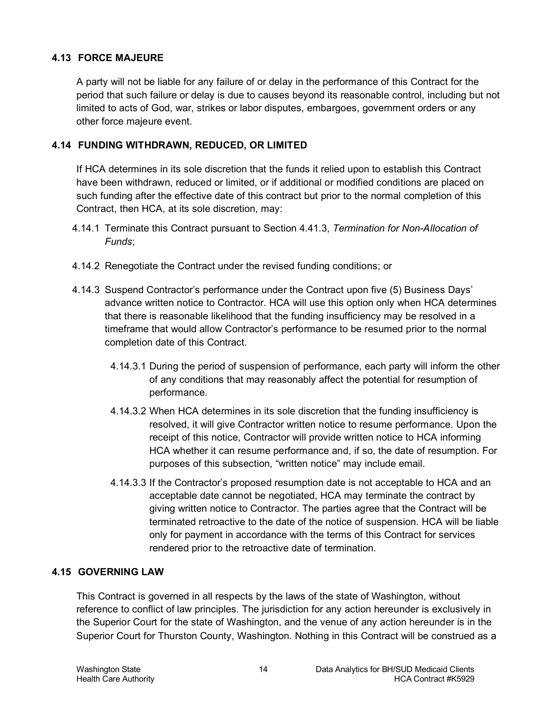### <span id="page-13-0"></span>**4.13 FORCE MAJEURE**

A party will not be liable for any failure of or delay in the performance of this Contract for the period that such failure or delay is due to causes beyond its reasonable control, including but not limited to acts of God, war, strikes or labor disputes, embargoes, government orders or any other force majeure event.

## <span id="page-13-1"></span>**4.14 FUNDING WITHDRAWN, REDUCED, OR LIMITED**

If HCA determines in its sole discretion that the funds it relied upon to establish this Contract have been withdrawn, reduced or limited, or if additional or modified conditions are placed on such funding after the effective date of this contract but prior to the normal completion of this Contract, then HCA, at its sole discretion, may:

- 4.14.1 Terminate this Contract pursuant to Section [4.41.3,](#page-20-1) *Termination for Non-Allocation of Funds*;
- 4.14.2 Renegotiate the Contract under the revised funding conditions; or
- 4.14.3 Suspend Contractor's performance under the Contract upon five (5) Business Days' advance written notice to Contractor. HCA will use this option only when HCA determines that there is reasonable likelihood that the funding insufficiency may be resolved in a timeframe that would allow Contractor's performance to be resumed prior to the normal completion date of this Contract.
	- 4.14.3.1 During the period of suspension of performance, each party will inform the other of any conditions that may reasonably affect the potential for resumption of performance.
	- 4.14.3.2 When HCA determines in its sole discretion that the funding insufficiency is resolved, it will give Contractor written notice to resume performance. Upon the receipt of this notice, Contractor will provide written notice to HCA informing HCA whether it can resume performance and, if so, the date of resumption. For purposes of this subsection, "written notice" may include email.
	- 4.14.3.3 If the Contractor's proposed resumption date is not acceptable to HCA and an acceptable date cannot be negotiated, HCA may terminate the contract by giving written notice to Contractor. The parties agree that the Contract will be terminated retroactive to the date of the notice of suspension. HCA will be liable only for payment in accordance with the terms of this Contract for services rendered prior to the retroactive date of termination.

## <span id="page-13-2"></span>**4.15 GOVERNING LAW**

This Contract is governed in all respects by the laws of the state of Washington, without reference to conflict of law principles. The jurisdiction for any action hereunder is exclusively in the Superior Court for the state of Washington, and the venue of any action hereunder is in the Superior Court for Thurston County, Washington. Nothing in this Contract will be construed as a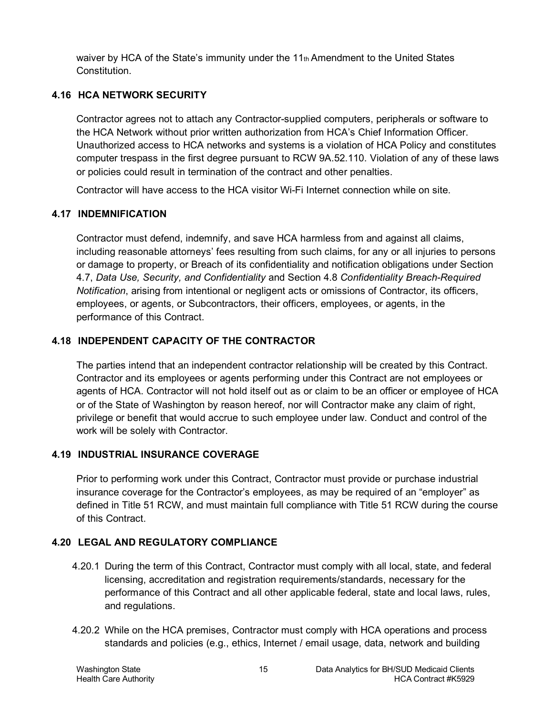waiver by HCA of the State's immunity under the  $11<sub>th</sub>$  Amendment to the United States Constitution.

## <span id="page-14-0"></span>**4.16 HCA NETWORK SECURITY**

Contractor agrees not to attach any Contractor-supplied computers, peripherals or software to the HCA Network without prior written authorization from HCA's Chief Information Officer. Unauthorized access to HCA networks and systems is a violation of HCA Policy and constitutes computer trespass in the first degree pursuant to RCW 9A.52.110. Violation of any of these laws or policies could result in termination of the contract and other penalties.

Contractor will have access to the HCA visitor Wi-Fi Internet connection while on site.

## <span id="page-14-1"></span>**4.17 INDEMNIFICATION**

Contractor must defend, indemnify, and save HCA harmless from and against all claims, including reasonable attorneys' fees resulting from such claims, for any or all injuries to persons or damage to property, or Breach of its confidentiality and notification obligations under Section 4.7, *Data Use, Security, and Confidentiality* and Section 4.8 *Confidentiality Breach-Required Notification*, arising from intentional or negligent acts or omissions of Contractor, its officers, employees, or agents, or Subcontractors, their officers, employees, or agents, in the performance of this Contract.

## <span id="page-14-2"></span>**4.18 INDEPENDENT CAPACITY OF THE CONTRACTOR**

The parties intend that an independent contractor relationship will be created by this Contract. Contractor and its employees or agents performing under this Contract are not employees or agents of HCA. Contractor will not hold itself out as or claim to be an officer or employee of HCA or of the State of Washington by reason hereof, nor will Contractor make any claim of right, privilege or benefit that would accrue to such employee under law. Conduct and control of the work will be solely with Contractor.

## <span id="page-14-3"></span>**4.19 INDUSTRIAL INSURANCE COVERAGE**

Prior to performing work under this Contract, Contractor must provide or purchase industrial insurance coverage for the Contractor's employees, as may be required of an "employer" as defined in Title 51 RCW, and must maintain full compliance with Title 51 RCW during the course of this Contract.

## <span id="page-14-4"></span>**4.20 LEGAL AND REGULATORY COMPLIANCE**

- 4.20.1 During the term of this Contract, Contractor must comply with all local, state, and federal licensing, accreditation and registration requirements/standards, necessary for the performance of this Contract and all other applicable federal, state and local laws, rules, and regulations.
- 4.20.2 While on the HCA premises, Contractor must comply with HCA operations and process standards and policies (e.g., ethics, Internet / email usage, data, network and building

Washington State 15 Data Analytics for BH/SUD Medicaid Clients Health Care Authority HCA Contract #K5929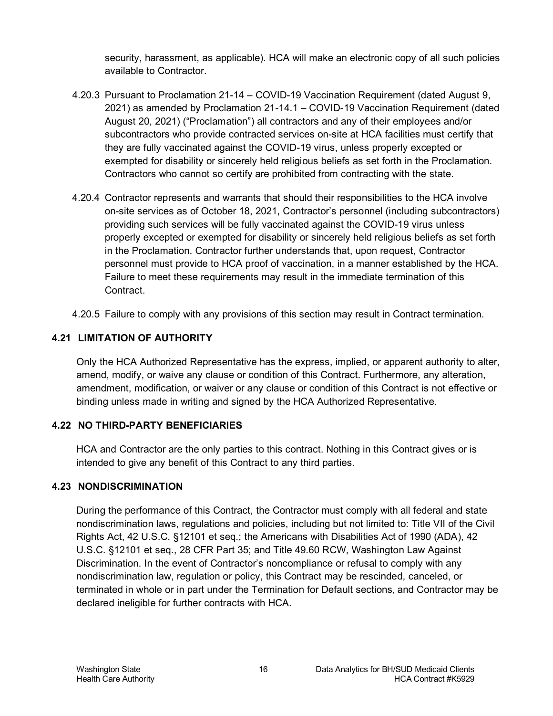security, harassment, as applicable). HCA will make an electronic copy of all such policies available to Contractor.

- 4.20.3 Pursuant to Proclamation 21-14 COVID-19 Vaccination Requirement (dated August 9, 2021) as amended by Proclamation 21-14.1 – COVID-19 Vaccination Requirement (dated August 20, 2021) ("Proclamation") all contractors and any of their employees and/or subcontractors who provide contracted services on-site at HCA facilities must certify that they are fully vaccinated against the COVID-19 virus, unless properly excepted or exempted for disability or sincerely held religious beliefs as set forth in the Proclamation. Contractors who cannot so certify are prohibited from contracting with the state.
- 4.20.4 Contractor represents and warrants that should their responsibilities to the HCA involve on-site services as of October 18, 2021, Contractor's personnel (including subcontractors) providing such services will be fully vaccinated against the COVID-19 virus unless properly excepted or exempted for disability or sincerely held religious beliefs as set forth in the Proclamation. Contractor further understands that, upon request, Contractor personnel must provide to HCA proof of vaccination, in a manner established by the HCA. Failure to meet these requirements may result in the immediate termination of this Contract.
- 4.20.5 Failure to comply with any provisions of this section may result in Contract termination.

## <span id="page-15-0"></span>**4.21 LIMITATION OF AUTHORITY**

Only the HCA Authorized Representative has the express, implied, or apparent authority to alter, amend, modify, or waive any clause or condition of this Contract. Furthermore, any alteration, amendment, modification, or waiver or any clause or condition of this Contract is not effective or binding unless made in writing and signed by the HCA Authorized Representative.

## <span id="page-15-1"></span>**4.22 NO THIRD-PARTY BENEFICIARIES**

HCA and Contractor are the only parties to this contract. Nothing in this Contract gives or is intended to give any benefit of this Contract to any third parties.

## <span id="page-15-2"></span>**4.23 NONDISCRIMINATION**

During the performance of this Contract, the Contractor must comply with all federal and state nondiscrimination laws, regulations and policies, including but not limited to: Title VII of the Civil Rights Act, 42 U.S.C. §12101 et seq.; the Americans with Disabilities Act of 1990 (ADA), 42 U.S.C. §12101 et seq., 28 CFR Part 35; and Title 49.60 RCW, Washington Law Against Discrimination. In the event of Contractor's noncompliance or refusal to comply with any nondiscrimination law, regulation or policy, this Contract may be rescinded, canceled, or terminated in whole or in part under the Termination for Default sections, and Contractor may be declared ineligible for further contracts with HCA.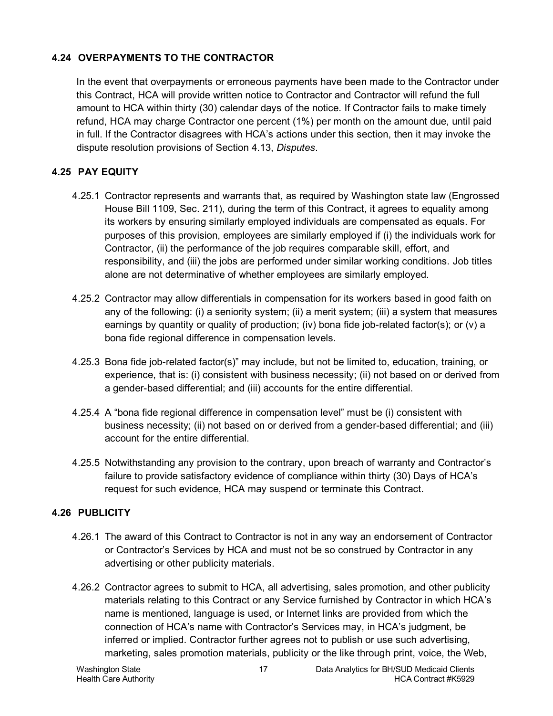## <span id="page-16-0"></span>**4.24 OVERPAYMENTS TO THE CONTRACTOR**

In the event that overpayments or erroneous payments have been made to the Contractor under this Contract, HCA will provide written notice to Contractor and Contractor will refund the full amount to HCA within thirty (30) calendar days of the notice. If Contractor fails to make timely refund, HCA may charge Contractor one percent (1%) per month on the amount due, until paid in full. If the Contractor disagrees with HCA's actions under this section, then it may invoke the dispute resolution provisions of Section [4.13,](#page-12-0) *Disputes*.

## <span id="page-16-1"></span>**4.25 PAY EQUITY**

- 4.25.1 Contractor represents and warrants that, as required by Washington state law (Engrossed House Bill 1109, Sec. 211), during the term of this Contract, it agrees to equality among its workers by ensuring similarly employed individuals are compensated as equals. For purposes of this provision, employees are similarly employed if (i) the individuals work for Contractor, (ii) the performance of the job requires comparable skill, effort, and responsibility, and (iii) the jobs are performed under similar working conditions. Job titles alone are not determinative of whether employees are similarly employed.
- 4.25.2 Contractor may allow differentials in compensation for its workers based in good faith on any of the following: (i) a seniority system; (ii) a merit system; (iii) a system that measures earnings by quantity or quality of production; (iv) bona fide job-related factor(s); or (v) a bona fide regional difference in compensation levels.
- 4.25.3 Bona fide job-related factor(s)" may include, but not be limited to, education, training, or experience, that is: (i) consistent with business necessity; (ii) not based on or derived from a gender-based differential; and (iii) accounts for the entire differential.
- 4.25.4 A "bona fide regional difference in compensation level" must be (i) consistent with business necessity; (ii) not based on or derived from a gender-based differential; and (iii) account for the entire differential.
- 4.25.5 Notwithstanding any provision to the contrary, upon breach of warranty and Contractor's failure to provide satisfactory evidence of compliance within thirty (30) Days of HCA's request for such evidence, HCA may suspend or terminate this Contract.

## <span id="page-16-2"></span>**4.26 PUBLICITY**

- 4.26.1 The award of this Contract to Contractor is not in any way an endorsement of Contractor or Contractor's Services by HCA and must not be so construed by Contractor in any advertising or other publicity materials.
- 4.26.2 Contractor agrees to submit to HCA, all advertising, sales promotion, and other publicity materials relating to this Contract or any Service furnished by Contractor in which HCA's name is mentioned, language is used, or Internet links are provided from which the connection of HCA's name with Contractor's Services may, in HCA's judgment, be inferred or implied. Contractor further agrees not to publish or use such advertising, marketing, sales promotion materials, publicity or the like through print, voice, the Web,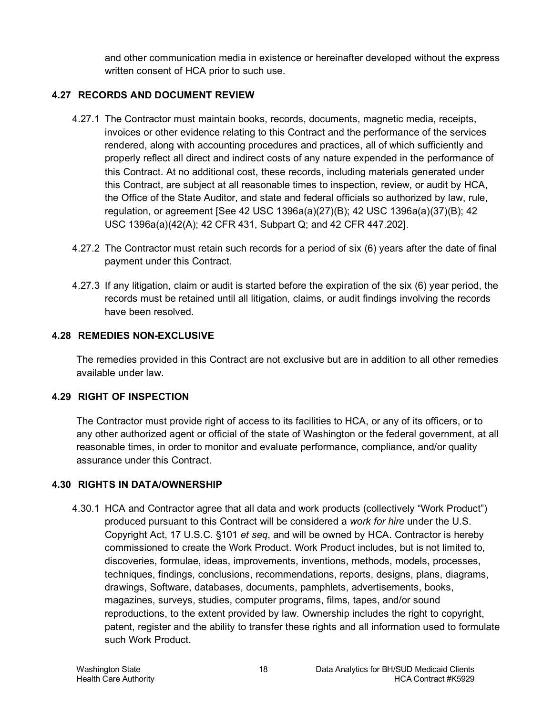and other communication media in existence or hereinafter developed without the express written consent of HCA prior to such use.

## <span id="page-17-0"></span>**4.27 RECORDS AND DOCUMENT REVIEW**

- 4.27.1 The Contractor must maintain books, records, documents, magnetic media, receipts, invoices or other evidence relating to this Contract and the performance of the services rendered, along with accounting procedures and practices, all of which sufficiently and properly reflect all direct and indirect costs of any nature expended in the performance of this Contract. At no additional cost, these records, including materials generated under this Contract, are subject at all reasonable times to inspection, review, or audit by HCA, the Office of the State Auditor, and state and federal officials so authorized by law, rule, regulation, or agreement [See 42 USC 1396a(a)(27)(B); 42 USC 1396a(a)(37)(B); 42 USC 1396a(a)(42(A); 42 CFR 431, Subpart Q; and 42 CFR 447.202].
- 4.27.2 The Contractor must retain such records for a period of six (6) years after the date of final payment under this Contract.
- 4.27.3 If any litigation, claim or audit is started before the expiration of the six (6) year period, the records must be retained until all litigation, claims, or audit findings involving the records have been resolved.

#### <span id="page-17-1"></span>**4.28 REMEDIES NON-EXCLUSIVE**

The remedies provided in this Contract are not exclusive but are in addition to all other remedies available under law.

## <span id="page-17-2"></span>**4.29 RIGHT OF INSPECTION**

The Contractor must provide right of access to its facilities to HCA, or any of its officers, or to any other authorized agent or official of the state of Washington or the federal government, at all reasonable times, in order to monitor and evaluate performance, compliance, and/or quality assurance under this Contract.

## <span id="page-17-3"></span>**4.30 RIGHTS IN DATA/OWNERSHIP**

4.30.1 HCA and Contractor agree that all data and work products (collectively "Work Product") produced pursuant to this Contract will be considered a *work for hire* under the U.S. Copyright Act, 17 U.S.C. §101 *et seq*, and will be owned by HCA. Contractor is hereby commissioned to create the Work Product. Work Product includes, but is not limited to, discoveries, formulae, ideas, improvements, inventions, methods, models, processes, techniques, findings, conclusions, recommendations, reports, designs, plans, diagrams, drawings, Software, databases, documents, pamphlets, advertisements, books, magazines, surveys, studies, computer programs, films, tapes, and/or sound reproductions, to the extent provided by law. Ownership includes the right to copyright, patent, register and the ability to transfer these rights and all information used to formulate such Work Product.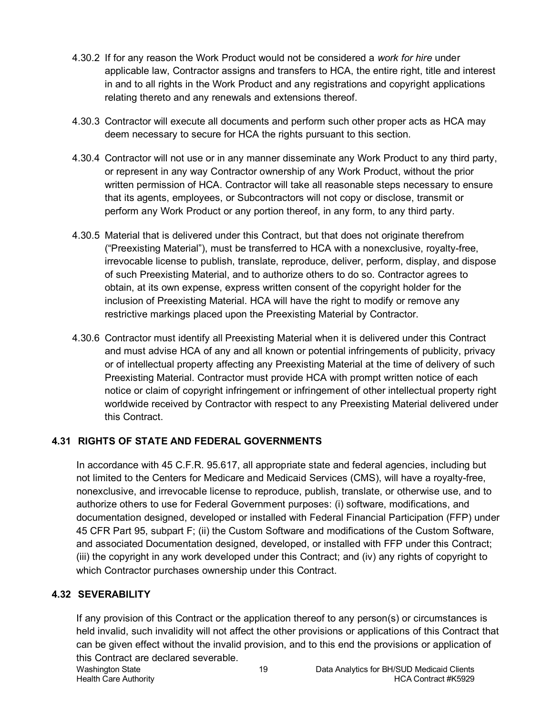- 4.30.2 If for any reason the Work Product would not be considered a *work for hire* under applicable law, Contractor assigns and transfers to HCA, the entire right, title and interest in and to all rights in the Work Product and any registrations and copyright applications relating thereto and any renewals and extensions thereof.
- 4.30.3 Contractor will execute all documents and perform such other proper acts as HCA may deem necessary to secure for HCA the rights pursuant to this section.
- 4.30.4 Contractor will not use or in any manner disseminate any Work Product to any third party, or represent in any way Contractor ownership of any Work Product, without the prior written permission of HCA. Contractor will take all reasonable steps necessary to ensure that its agents, employees, or Subcontractors will not copy or disclose, transmit or perform any Work Product or any portion thereof, in any form, to any third party.
- 4.30.5 Material that is delivered under this Contract, but that does not originate therefrom ("Preexisting Material"), must be transferred to HCA with a nonexclusive, royalty-free, irrevocable license to publish, translate, reproduce, deliver, perform, display, and dispose of such Preexisting Material, and to authorize others to do so. Contractor agrees to obtain, at its own expense, express written consent of the copyright holder for the inclusion of Preexisting Material. HCA will have the right to modify or remove any restrictive markings placed upon the Preexisting Material by Contractor.
- 4.30.6 Contractor must identify all Preexisting Material when it is delivered under this Contract and must advise HCA of any and all known or potential infringements of publicity, privacy or of intellectual property affecting any Preexisting Material at the time of delivery of such Preexisting Material. Contractor must provide HCA with prompt written notice of each notice or claim of copyright infringement or infringement of other intellectual property right worldwide received by Contractor with respect to any Preexisting Material delivered under this Contract.

## <span id="page-18-0"></span>**4.31 RIGHTS OF STATE AND FEDERAL GOVERNMENTS**

In accordance with 45 C.F.R. 95.617, all appropriate state and federal agencies, including but not limited to the Centers for Medicare and Medicaid Services (CMS), will have a royalty-free, nonexclusive, and irrevocable license to reproduce, publish, translate, or otherwise use, and to authorize others to use for Federal Government purposes: (i) software, modifications, and documentation designed, developed or installed with Federal Financial Participation (FFP) under 45 CFR Part 95, subpart F; (ii) the Custom Software and modifications of the Custom Software, and associated Documentation designed, developed, or installed with FFP under this Contract; (iii) the copyright in any work developed under this Contract; and (iv) any rights of copyright to which Contractor purchases ownership under this Contract.

## <span id="page-18-1"></span>**4.32 SEVERABILITY**

If any provision of this Contract or the application thereof to any person(s) or circumstances is held invalid, such invalidity will not affect the other provisions or applications of this Contract that can be given effect without the invalid provision, and to this end the provisions or application of this Contract are declared severable.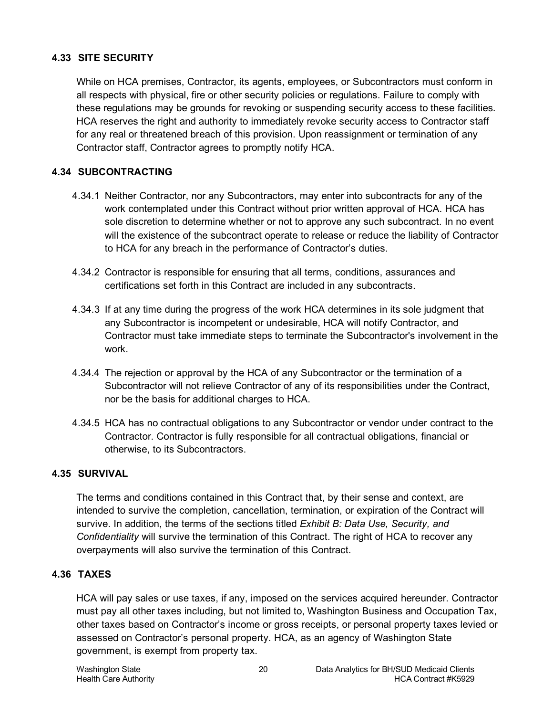## <span id="page-19-0"></span>**4.33 SITE SECURITY**

While on HCA premises, Contractor, its agents, employees, or Subcontractors must conform in all respects with physical, fire or other security policies or regulations. Failure to comply with these regulations may be grounds for revoking or suspending security access to these facilities. HCA reserves the right and authority to immediately revoke security access to Contractor staff for any real or threatened breach of this provision. Upon reassignment or termination of any Contractor staff, Contractor agrees to promptly notify HCA.

## <span id="page-19-1"></span>**4.34 SUBCONTRACTING**

- 4.34.1 Neither Contractor, nor any Subcontractors, may enter into subcontracts for any of the work contemplated under this Contract without prior written approval of HCA. HCA has sole discretion to determine whether or not to approve any such subcontract. In no event will the existence of the subcontract operate to release or reduce the liability of Contractor to HCA for any breach in the performance of Contractor's duties.
- 4.34.2 Contractor is responsible for ensuring that all terms, conditions, assurances and certifications set forth in this Contract are included in any subcontracts.
- 4.34.3 If at any time during the progress of the work HCA determines in its sole judgment that any Subcontractor is incompetent or undesirable, HCA will notify Contractor, and Contractor must take immediate steps to terminate the Subcontractor's involvement in the work.
- 4.34.4 The rejection or approval by the HCA of any Subcontractor or the termination of a Subcontractor will not relieve Contractor of any of its responsibilities under the Contract, nor be the basis for additional charges to HCA.
- 4.34.5 HCA has no contractual obligations to any Subcontractor or vendor under contract to the Contractor. Contractor is fully responsible for all contractual obligations, financial or otherwise, to its Subcontractors.

## <span id="page-19-2"></span>**4.35 SURVIVAL**

The terms and conditions contained in this Contract that, by their sense and context, are intended to survive the completion, cancellation, termination, or expiration of the Contract will survive. In addition, the terms of the sections titled *Exhibit B: Data Use, Security, and Confidentiality* will survive the termination of this Contract. The right of HCA to recover any overpayments will also survive the termination of this Contract.

## <span id="page-19-3"></span>**4.36 TAXES**

HCA will pay sales or use taxes, if any, imposed on the services acquired hereunder. Contractor must pay all other taxes including, but not limited to, Washington Business and Occupation Tax, other taxes based on Contractor's income or gross receipts, or personal property taxes levied or assessed on Contractor's personal property. HCA, as an agency of Washington State government, is exempt from property tax.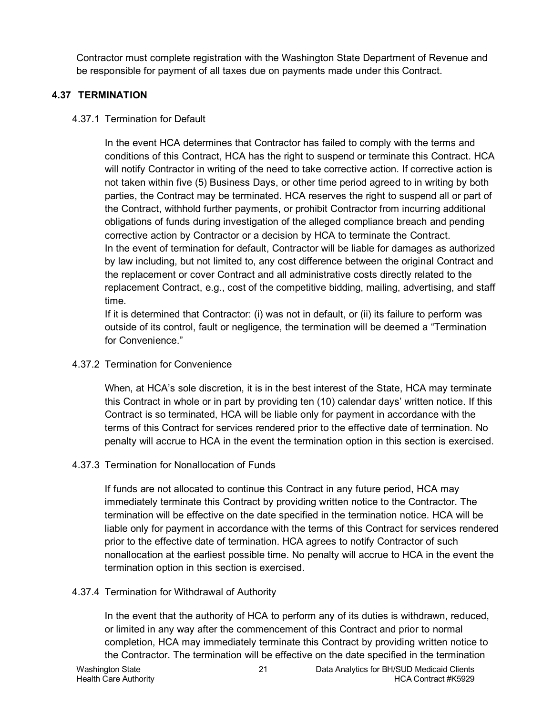Contractor must complete registration with the Washington State Department of Revenue and be responsible for payment of all taxes due on payments made under this Contract.

## <span id="page-20-0"></span>**4.37 TERMINATION**

4.37.1 Termination for Default

In the event HCA determines that Contractor has failed to comply with the terms and conditions of this Contract, HCA has the right to suspend or terminate this Contract. HCA will notify Contractor in writing of the need to take corrective action. If corrective action is not taken within five (5) Business Days, or other time period agreed to in writing by both parties, the Contract may be terminated. HCA reserves the right to suspend all or part of the Contract, withhold further payments, or prohibit Contractor from incurring additional obligations of funds during investigation of the alleged compliance breach and pending corrective action by Contractor or a decision by HCA to terminate the Contract. In the event of termination for default, Contractor will be liable for damages as authorized by law including, but not limited to, any cost difference between the original Contract and the replacement or cover Contract and all administrative costs directly related to the replacement Contract, e.g., cost of the competitive bidding, mailing, advertising, and staff time.

If it is determined that Contractor: (i) was not in default, or (ii) its failure to perform was outside of its control, fault or negligence, the termination will be deemed a "Termination for Convenience."

## 4.37.2 Termination for Convenience

When, at HCA's sole discretion, it is in the best interest of the State, HCA may terminate this Contract in whole or in part by providing ten (10) calendar days' written notice. If this Contract is so terminated, HCA will be liable only for payment in accordance with the terms of this Contract for services rendered prior to the effective date of termination. No penalty will accrue to HCA in the event the termination option in this section is exercised.

## <span id="page-20-1"></span>4.37.3 Termination for Nonallocation of Funds

If funds are not allocated to continue this Contract in any future period, HCA may immediately terminate this Contract by providing written notice to the Contractor. The termination will be effective on the date specified in the termination notice. HCA will be liable only for payment in accordance with the terms of this Contract for services rendered prior to the effective date of termination. HCA agrees to notify Contractor of such nonallocation at the earliest possible time. No penalty will accrue to HCA in the event the termination option in this section is exercised.

## 4.37.4 Termination for Withdrawal of Authority

In the event that the authority of HCA to perform any of its duties is withdrawn, reduced, or limited in any way after the commencement of this Contract and prior to normal completion, HCA may immediately terminate this Contract by providing written notice to the Contractor. The termination will be effective on the date specified in the termination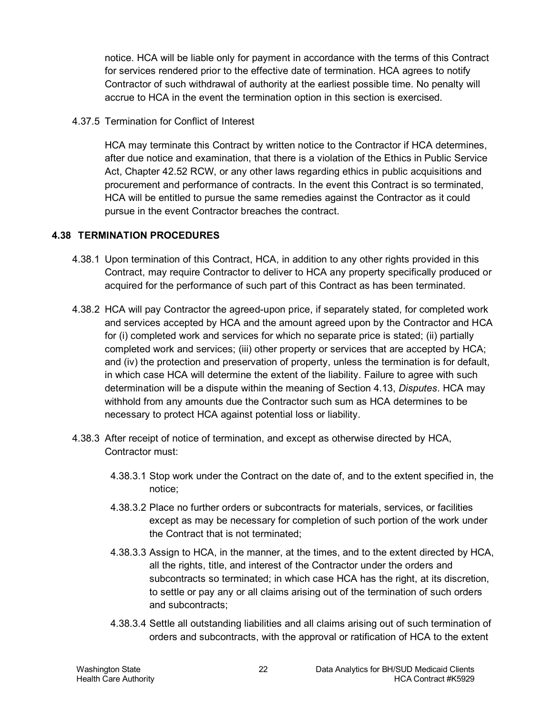notice. HCA will be liable only for payment in accordance with the terms of this Contract for services rendered prior to the effective date of termination. HCA agrees to notify Contractor of such withdrawal of authority at the earliest possible time. No penalty will accrue to HCA in the event the termination option in this section is exercised.

4.37.5 Termination for Conflict of Interest

HCA may terminate this Contract by written notice to the Contractor if HCA determines, after due notice and examination, that there is a violation of the Ethics in Public Service Act, Chapter 42.52 RCW, or any other laws regarding ethics in public acquisitions and procurement and performance of contracts. In the event this Contract is so terminated, HCA will be entitled to pursue the same remedies against the Contractor as it could pursue in the event Contractor breaches the contract.

## <span id="page-21-0"></span>**4.38 TERMINATION PROCEDURES**

- 4.38.1 Upon termination of this Contract, HCA, in addition to any other rights provided in this Contract, may require Contractor to deliver to HCA any property specifically produced or acquired for the performance of such part of this Contract as has been terminated.
- 4.38.2 HCA will pay Contractor the agreed-upon price, if separately stated, for completed work and services accepted by HCA and the amount agreed upon by the Contractor and HCA for (i) completed work and services for which no separate price is stated; (ii) partially completed work and services; (iii) other property or services that are accepted by HCA; and (iv) the protection and preservation of property, unless the termination is for default, in which case HCA will determine the extent of the liability. Failure to agree with such determination will be a dispute within the meaning of Section [4.13,](#page-12-0) *Disputes*. HCA may withhold from any amounts due the Contractor such sum as HCA determines to be necessary to protect HCA against potential loss or liability.
- 4.38.3 After receipt of notice of termination, and except as otherwise directed by HCA, Contractor must:
	- 4.38.3.1 Stop work under the Contract on the date of, and to the extent specified in, the notice;
	- 4.38.3.2 Place no further orders or subcontracts for materials, services, or facilities except as may be necessary for completion of such portion of the work under the Contract that is not terminated;
	- 4.38.3.3 Assign to HCA, in the manner, at the times, and to the extent directed by HCA, all the rights, title, and interest of the Contractor under the orders and subcontracts so terminated; in which case HCA has the right, at its discretion, to settle or pay any or all claims arising out of the termination of such orders and subcontracts;
	- 4.38.3.4 Settle all outstanding liabilities and all claims arising out of such termination of orders and subcontracts, with the approval or ratification of HCA to the extent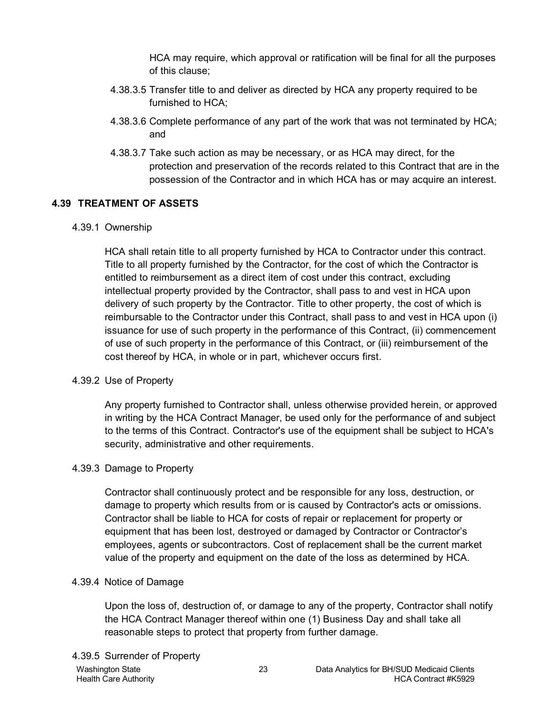HCA may require, which approval or ratification will be final for all the purposes of this clause;

- 4.38.3.5 Transfer title to and deliver as directed by HCA any property required to be furnished to HCA;
- 4.38.3.6 Complete performance of any part of the work that was not terminated by HCA; and
- 4.38.3.7 Take such action as may be necessary, or as HCA may direct, for the protection and preservation of the records related to this Contract that are in the possession of the Contractor and in which HCA has or may acquire an interest.

## <span id="page-22-0"></span>**4.39 TREATMENT OF ASSETS**

#### 4.39.1 Ownership

HCA shall retain title to all property furnished by HCA to Contractor under this contract. Title to all property furnished by the Contractor, for the cost of which the Contractor is entitled to reimbursement as a direct item of cost under this contract, excluding intellectual property provided by the Contractor, shall pass to and vest in HCA upon delivery of such property by the Contractor. Title to other property, the cost of which is reimbursable to the Contractor under this Contract, shall pass to and vest in HCA upon (i) issuance for use of such property in the performance of this Contract, (ii) commencement of use of such property in the performance of this Contract, or (iii) reimbursement of the cost thereof by HCA, in whole or in part, whichever occurs first.

## 4.39.2 Use of Property

Any property furnished to Contractor shall, unless otherwise provided herein, or approved in writing by the HCA Contract Manager, be used only for the performance of and subject to the terms of this Contract. Contractor's use of the equipment shall be subject to HCA's security, administrative and other requirements.

#### 4.39.3 Damage to Property

Contractor shall continuously protect and be responsible for any loss, destruction, or damage to property which results from or is caused by Contractor's acts or omissions. Contractor shall be liable to HCA for costs of repair or replacement for property or equipment that has been lost, destroyed or damaged by Contractor or Contractor's employees, agents or subcontractors. Cost of replacement shall be the current market value of the property and equipment on the date of the loss as determined by HCA.

#### 4.39.4 Notice of Damage

Upon the loss of, destruction of, or damage to any of the property, Contractor shall notify the HCA Contract Manager thereof within one (1) Business Day and shall take all reasonable steps to protect that property from further damage.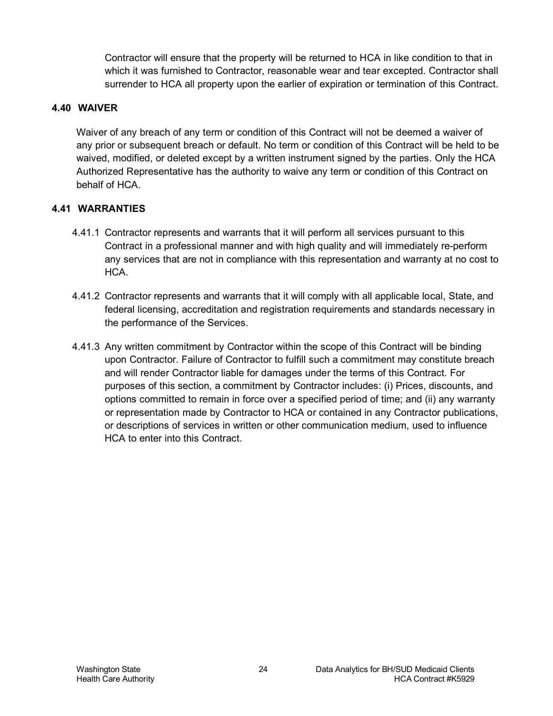Contractor will ensure that the property will be returned to HCA in like condition to that in which it was furnished to Contractor, reasonable wear and tear excepted. Contractor shall surrender to HCA all property upon the earlier of expiration or termination of this Contract.

#### <span id="page-23-0"></span>**4.40 WAIVER**

Waiver of any breach of any term or condition of this Contract will not be deemed a waiver of any prior or subsequent breach or default. No term or condition of this Contract will be held to be waived, modified, or deleted except by a written instrument signed by the parties. Only the HCA Authorized Representative has the authority to waive any term or condition of this Contract on behalf of HCA.

## <span id="page-23-1"></span>**4.41 WARRANTIES**

- 4.41.1 Contractor represents and warrants that it will perform all services pursuant to this Contract in a professional manner and with high quality and will immediately re-perform any services that are not in compliance with this representation and warranty at no cost to HCA.
- 4.41.2 Contractor represents and warrants that it will comply with all applicable local, State, and federal licensing, accreditation and registration requirements and standards necessary in the performance of the Services.
- 4.41.3 Any written commitment by Contractor within the scope of this Contract will be binding upon Contractor. Failure of Contractor to fulfill such a commitment may constitute breach and will render Contractor liable for damages under the terms of this Contract. For purposes of this section, a commitment by Contractor includes: (i) Prices, discounts, and options committed to remain in force over a specified period of time; and (ii) any warranty or representation made by Contractor to HCA or contained in any Contractor publications, or descriptions of services in written or other communication medium, used to influence HCA to enter into this Contract.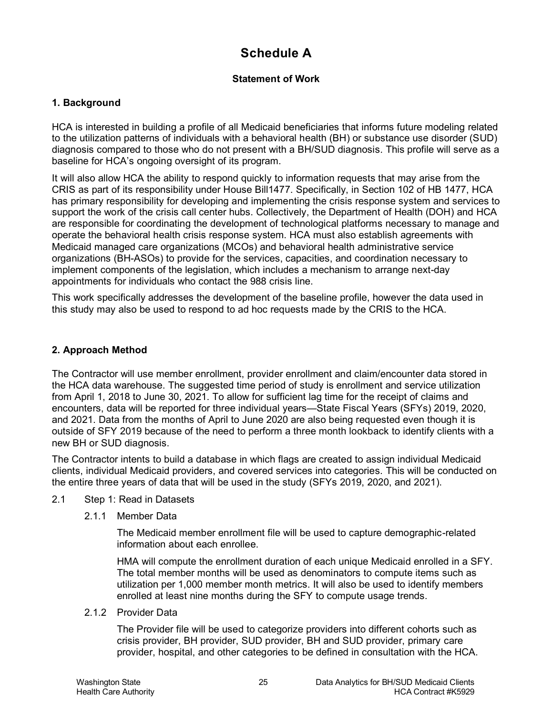## **Schedule A**

#### **Statement of Work**

#### **1. Background**

HCA is interested in building a profile of all Medicaid beneficiaries that informs future modeling related to the utilization patterns of individuals with a behavioral health (BH) or substance use disorder (SUD) diagnosis compared to those who do not present with a BH/SUD diagnosis. This profile will serve as a baseline for HCA's ongoing oversight of its program.

It will also allow HCA the ability to respond quickly to information requests that may arise from the CRIS as part of its responsibility under House Bill1477. Specifically, in Section 102 of HB 1477, HCA has primary responsibility for developing and implementing the crisis response system and services to support the work of the crisis call center hubs. Collectively, the Department of Health (DOH) and HCA are responsible for coordinating the development of technological platforms necessary to manage and operate the behavioral health crisis response system. HCA must also establish agreements with Medicaid managed care organizations (MCOs) and behavioral health administrative service organizations (BH-ASOs) to provide for the services, capacities, and coordination necessary to implement components of the legislation, which includes a mechanism to arrange next-day appointments for individuals who contact the 988 crisis line.

This work specifically addresses the development of the baseline profile, however the data used in this study may also be used to respond to ad hoc requests made by the CRIS to the HCA.

#### **2. Approach Method**

The Contractor will use member enrollment, provider enrollment and claim/encounter data stored in the HCA data warehouse. The suggested time period of study is enrollment and service utilization from April 1, 2018 to June 30, 2021. To allow for sufficient lag time for the receipt of claims and encounters, data will be reported for three individual years—State Fiscal Years (SFYs) 2019, 2020, and 2021. Data from the months of April to June 2020 are also being requested even though it is outside of SFY 2019 because of the need to perform a three month lookback to identify clients with a new BH or SUD diagnosis.

The Contractor intents to build a database in which flags are created to assign individual Medicaid clients, individual Medicaid providers, and covered services into categories. This will be conducted on the entire three years of data that will be used in the study (SFYs 2019, 2020, and 2021).

- 2.1 Step 1: Read in Datasets
	- 2.1.1 Member Data

The Medicaid member enrollment file will be used to capture demographic-related information about each enrollee.

HMA will compute the enrollment duration of each unique Medicaid enrolled in a SFY. The total member months will be used as denominators to compute items such as utilization per 1,000 member month metrics. It will also be used to identify members enrolled at least nine months during the SFY to compute usage trends.

2.1.2 Provider Data

The Provider file will be used to categorize providers into different cohorts such as crisis provider, BH provider, SUD provider, BH and SUD provider, primary care provider, hospital, and other categories to be defined in consultation with the HCA.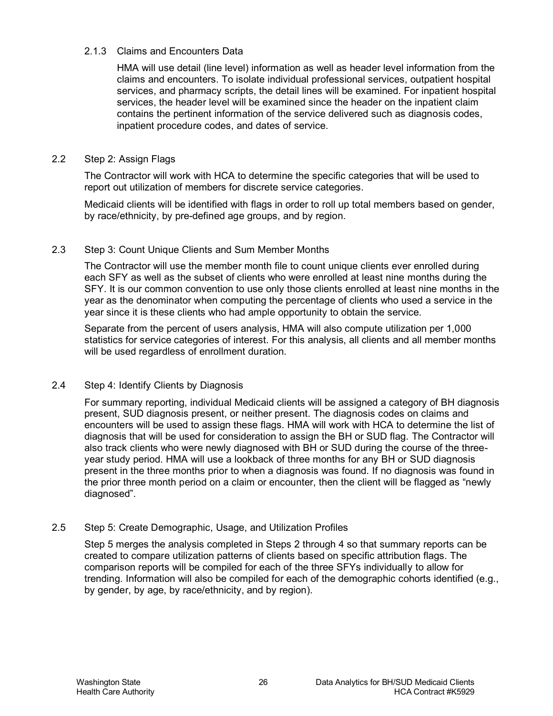#### 2.1.3 Claims and Encounters Data

HMA will use detail (line level) information as well as header level information from the claims and encounters. To isolate individual professional services, outpatient hospital services, and pharmacy scripts, the detail lines will be examined. For inpatient hospital services, the header level will be examined since the header on the inpatient claim contains the pertinent information of the service delivered such as diagnosis codes, inpatient procedure codes, and dates of service.

#### 2.2 Step 2: Assign Flags

The Contractor will work with HCA to determine the specific categories that will be used to report out utilization of members for discrete service categories.

Medicaid clients will be identified with flags in order to roll up total members based on gender, by race/ethnicity, by pre-defined age groups, and by region.

#### 2.3 Step 3: Count Unique Clients and Sum Member Months

The Contractor will use the member month file to count unique clients ever enrolled during each SFY as well as the subset of clients who were enrolled at least nine months during the SFY. It is our common convention to use only those clients enrolled at least nine months in the year as the denominator when computing the percentage of clients who used a service in the year since it is these clients who had ample opportunity to obtain the service.

Separate from the percent of users analysis, HMA will also compute utilization per 1,000 statistics for service categories of interest. For this analysis, all clients and all member months will be used regardless of enrollment duration.

#### 2.4 Step 4: Identify Clients by Diagnosis

For summary reporting, individual Medicaid clients will be assigned a category of BH diagnosis present, SUD diagnosis present, or neither present. The diagnosis codes on claims and encounters will be used to assign these flags. HMA will work with HCA to determine the list of diagnosis that will be used for consideration to assign the BH or SUD flag. The Contractor will also track clients who were newly diagnosed with BH or SUD during the course of the threeyear study period. HMA will use a lookback of three months for any BH or SUD diagnosis present in the three months prior to when a diagnosis was found. If no diagnosis was found in the prior three month period on a claim or encounter, then the client will be flagged as "newly diagnosed".

#### 2.5 Step 5: Create Demographic, Usage, and Utilization Profiles

Step 5 merges the analysis completed in Steps 2 through 4 so that summary reports can be created to compare utilization patterns of clients based on specific attribution flags. The comparison reports will be compiled for each of the three SFYs individually to allow for trending. Information will also be compiled for each of the demographic cohorts identified (e.g., by gender, by age, by race/ethnicity, and by region).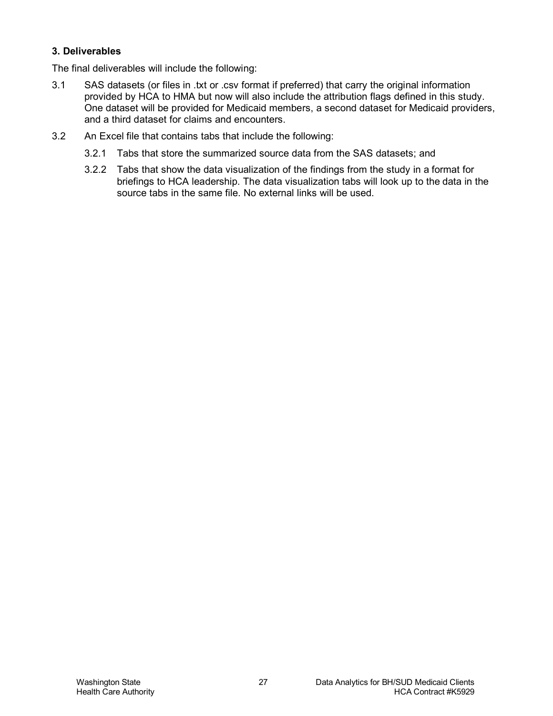#### **3. Deliverables**

The final deliverables will include the following:

- 3.1 SAS datasets (or files in .txt or .csv format if preferred) that carry the original information provided by HCA to HMA but now will also include the attribution flags defined in this study. One dataset will be provided for Medicaid members, a second dataset for Medicaid providers, and a third dataset for claims and encounters.
- 3.2 An Excel file that contains tabs that include the following:
	- 3.2.1 Tabs that store the summarized source data from the SAS datasets; and
	- 3.2.2 Tabs that show the data visualization of the findings from the study in a format for briefings to HCA leadership. The data visualization tabs will look up to the data in the source tabs in the same file. No external links will be used.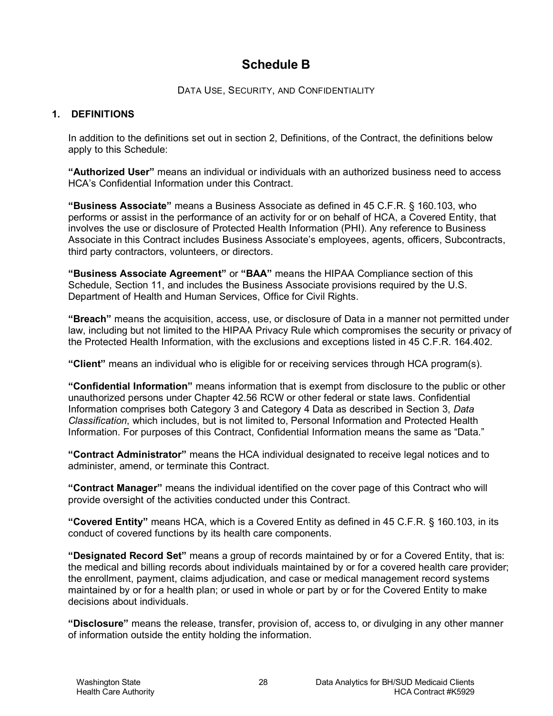## **Schedule B**

DATA USE, SECURITY, AND CONFIDENTIALITY

#### **1. DEFINITIONS**

In addition to the definitions set out in section 2, Definitions, of the Contract, the definitions below apply to this Schedule:

**"Authorized User"** means an individual or individuals with an authorized business need to access HCA's Confidential Information under this Contract.

**"Business Associate"** means a Business Associate as defined in 45 C.F.R. § 160.103, who performs or assist in the performance of an activity for or on behalf of HCA, a Covered Entity, that involves the use or disclosure of Protected Health Information (PHI). Any reference to Business Associate in this Contract includes Business Associate's employees, agents, officers, Subcontracts, third party contractors, volunteers, or directors.

**"Business Associate Agreement"** or **"BAA"** means the HIPAA Compliance section of this Schedule, Section 11, and includes the Business Associate provisions required by the U.S. Department of Health and Human Services, Office for Civil Rights.

**"Breach"** means the acquisition, access, use, or disclosure of Data in a manner not permitted under law, including but not limited to the HIPAA Privacy Rule which compromises the security or privacy of the Protected Health Information, with the exclusions and exceptions listed in 45 C.F.R. 164.402.

**"Client"** means an individual who is eligible for or receiving services through HCA program(s).

**"Confidential Information"** means information that is exempt from disclosure to the public or other unauthorized persons under Chapter 42.56 RCW or other federal or state laws. Confidential Information comprises both Category 3 and Category 4 Data as described in Section 3, *Data Classification*, which includes, but is not limited to, Personal Information and Protected Health Information. For purposes of this Contract, Confidential Information means the same as "Data."

**"Contract Administrator"** means the HCA individual designated to receive legal notices and to administer, amend, or terminate this Contract.

**"Contract Manager"** means the individual identified on the cover page of this Contract who will provide oversight of the activities conducted under this Contract.

**"Covered Entity"** means HCA, which is a Covered Entity as defined in 45 C.F.R. § 160.103, in its conduct of covered functions by its health care components.

**"Designated Record Set"** means a group of records maintained by or for a Covered Entity, that is: the medical and billing records about individuals maintained by or for a covered health care provider; the enrollment, payment, claims adjudication, and case or medical management record systems maintained by or for a health plan; or used in whole or part by or for the Covered Entity to make decisions about individuals.

**"Disclosure"** means the release, transfer, provision of, access to, or divulging in any other manner of information outside the entity holding the information.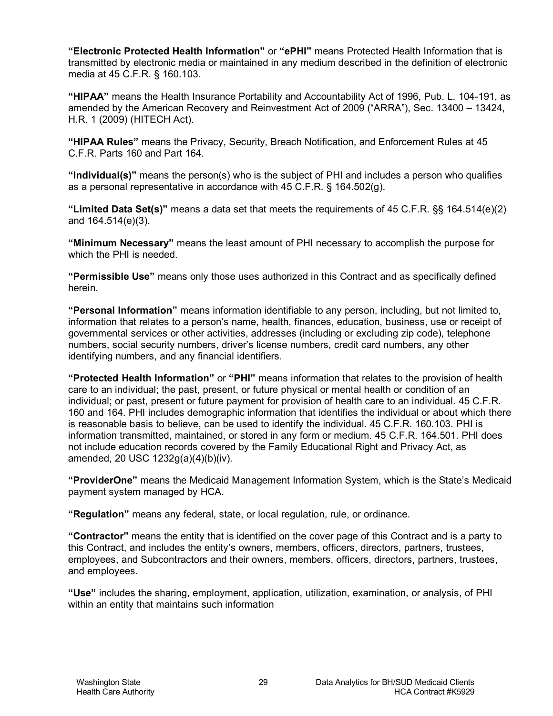**"Electronic Protected Health Information"** or **"ePHI"** means Protected Health Information that is transmitted by electronic media or maintained in any medium described in the definition of electronic media at 45 C.F.R. § 160.103.

**"HIPAA"** means the Health Insurance Portability and Accountability Act of 1996, Pub. L. 104-191, as amended by the American Recovery and Reinvestment Act of 2009 ("ARRA"), Sec. 13400 – 13424, H.R. 1 (2009) (HITECH Act).

**"HIPAA Rules"** means the Privacy, Security, Breach Notification, and Enforcement Rules at 45 C.F.R. Parts 160 and Part 164.

**"Individual(s)"** means the person(s) who is the subject of PHI and includes a person who qualifies as a personal representative in accordance with 45 C.F.R. § 164.502(g).

**"Limited Data Set(s)"** means a data set that meets the requirements of 45 C.F.R. §§ 164.514(e)(2) and 164.514(e)(3).

**"Minimum Necessary"** means the least amount of PHI necessary to accomplish the purpose for which the PHI is needed.

**"Permissible Use"** means only those uses authorized in this Contract and as specifically defined herein.

**"Personal Information"** means information identifiable to any person, including, but not limited to, information that relates to a person's name, health, finances, education, business, use or receipt of governmental services or other activities, addresses (including or excluding zip code), telephone numbers, social security numbers, driver's license numbers, credit card numbers, any other identifying numbers, and any financial identifiers.

**"Protected Health Information"** or **"PHI"** means information that relates to the provision of health care to an individual; the past, present, or future physical or mental health or condition of an individual; or past, present or future payment for provision of health care to an individual. 45 C.F.R. 160 and 164. PHI includes demographic information that identifies the individual or about which there is reasonable basis to believe, can be used to identify the individual. 45 C.F.R. 160.103. PHI is information transmitted, maintained, or stored in any form or medium. 45 C.F.R. 164.501. PHI does not include education records covered by the Family Educational Right and Privacy Act, as amended, 20 USC 1232g(a)(4)(b)(iv).

**"ProviderOne"** means the Medicaid Management Information System, which is the State's Medicaid payment system managed by HCA.

**"Regulation"** means any federal, state, or local regulation, rule, or ordinance.

**"Contractor"** means the entity that is identified on the cover page of this Contract and is a party to this Contract, and includes the entity's owners, members, officers, directors, partners, trustees, employees, and Subcontractors and their owners, members, officers, directors, partners, trustees, and employees.

**"Use"** includes the sharing, employment, application, utilization, examination, or analysis, of PHI within an entity that maintains such information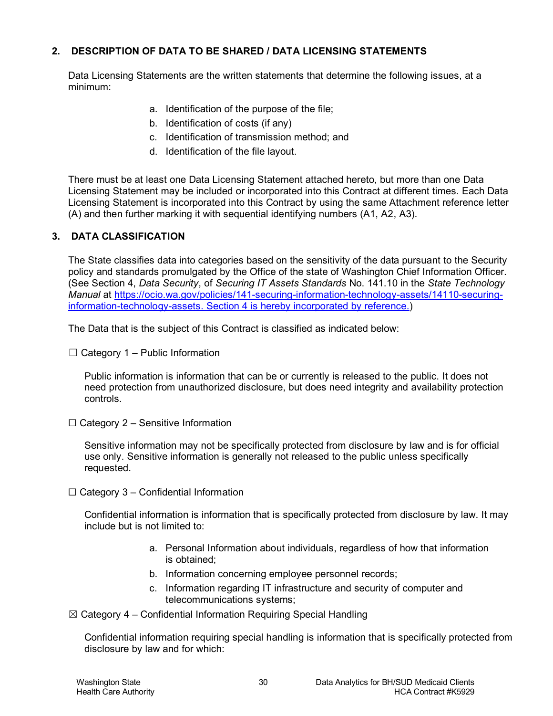### **2. DESCRIPTION OF DATA TO BE SHARED / DATA LICENSING STATEMENTS**

Data Licensing Statements are the written statements that determine the following issues, at a minimum:

- a. Identification of the purpose of the file;
- b. Identification of costs (if any)
- c. Identification of transmission method; and
- d. Identification of the file layout.

There must be at least one Data Licensing Statement attached hereto, but more than one Data Licensing Statement may be included or incorporated into this Contract at different times. Each Data Licensing Statement is incorporated into this Contract by using the same Attachment reference letter (A) and then further marking it with sequential identifying numbers (A1, A2, A3).

#### **3. DATA CLASSIFICATION**

The State classifies data into categories based on the sensitivity of the data pursuant to the Security policy and standards promulgated by the Office of the state of Washington Chief Information Officer. (See Section 4, *Data Security*, of *Securing IT Assets Standards* No. 141.10 in the *State Technology Manual* at [https://ocio.wa.gov/policies/141-securing-information-technology-assets/14110-securing](https://ocio.wa.gov/policies/141-securing-information-technology-assets/14110-securing-information-technology-assets)[information-technology-assets.](https://ocio.wa.gov/policies/141-securing-information-technology-assets/14110-securing-information-technology-assets) Section 4 is hereby incorporated by reference.)

The Data that is the subject of this Contract is classified as indicated below:

 $\Box$  Category 1 – Public Information

Public information is information that can be or currently is released to the public. It does not need protection from unauthorized disclosure, but does need integrity and availability protection controls.

 $\Box$  Category 2 – Sensitive Information

Sensitive information may not be specifically protected from disclosure by law and is for official use only. Sensitive information is generally not released to the public unless specifically requested.

 $\Box$  Category 3 – Confidential Information

Confidential information is information that is specifically protected from disclosure by law. It may include but is not limited to:

- a. Personal Information about individuals, regardless of how that information is obtained;
- b. Information concerning employee personnel records;
- c. Information regarding IT infrastructure and security of computer and telecommunications systems;
- $\boxtimes$  Category 4 Confidential Information Requiring Special Handling

Confidential information requiring special handling is information that is specifically protected from disclosure by law and for which: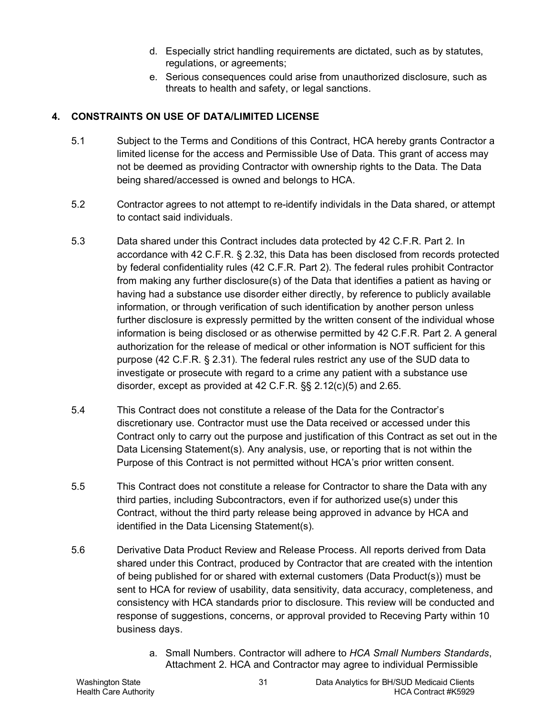- d. Especially strict handling requirements are dictated, such as by statutes, regulations, or agreements;
- e. Serious consequences could arise from unauthorized disclosure, such as threats to health and safety, or legal sanctions.

## **4. CONSTRAINTS ON USE OF DATA/LIMITED LICENSE**

- 5.1 Subject to the Terms and Conditions of this Contract, HCA hereby grants Contractor a limited license for the access and Permissible Use of Data. This grant of access may not be deemed as providing Contractor with ownership rights to the Data. The Data being shared/accessed is owned and belongs to HCA.
- 5.2 Contractor agrees to not attempt to re-identify individals in the Data shared, or attempt to contact said individuals.
- 5.3 Data shared under this Contract includes data protected by 42 C.F.R. Part 2. In accordance with 42 C.F.R. § 2.32, this Data has been disclosed from records protected by federal confidentiality rules (42 C.F.R. Part 2). The federal rules prohibit Contractor from making any further disclosure(s) of the Data that identifies a patient as having or having had a substance use disorder either directly, by reference to publicly available information, or through verification of such identification by another person unless further disclosure is expressly permitted by the written consent of the individual whose information is being disclosed or as otherwise permitted by 42 C.F.R. Part 2. A general authorization for the release of medical or other information is NOT sufficient for this purpose (42 C.F.R. § 2.31). The federal rules restrict any use of the SUD data to investigate or prosecute with regard to a crime any patient with a substance use disorder, except as provided at 42 C.F.R. §§ 2.12(c)(5) and 2.65.
- 5.4 This Contract does not constitute a release of the Data for the Contractor's discretionary use. Contractor must use the Data received or accessed under this Contract only to carry out the purpose and justification of this Contract as set out in the Data Licensing Statement(s). Any analysis, use, or reporting that is not within the Purpose of this Contract is not permitted without HCA's prior written consent.
- 5.5 This Contract does not constitute a release for Contractor to share the Data with any third parties, including Subcontractors, even if for authorized use(s) under this Contract, without the third party release being approved in advance by HCA and identified in the Data Licensing Statement(s).
- 5.6 Derivative Data Product Review and Release Process. All reports derived from Data shared under this Contract, produced by Contractor that are created with the intention of being published for or shared with external customers (Data Product(s)) must be sent to HCA for review of usability, data sensitivity, data accuracy, completeness, and consistency with HCA standards prior to disclosure. This review will be conducted and response of suggestions, concerns, or approval provided to Receving Party within 10 business days.
	- a. Small Numbers. Contractor will adhere to *HCA Small Numbers Standards*, Attachment 2. HCA and Contractor may agree to individual Permissible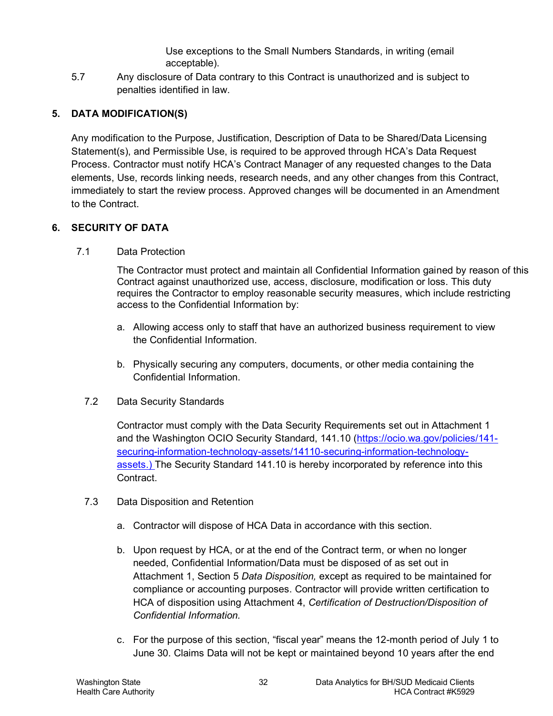Use exceptions to the Small Numbers Standards, in writing (email acceptable).

5.7 Any disclosure of Data contrary to this Contract is unauthorized and is subject to penalties identified in law.

## **5. DATA MODIFICATION(S)**

Any modification to the Purpose, Justification, Description of Data to be Shared/Data Licensing Statement(s), and Permissible Use, is required to be approved through HCA's Data Request Process. Contractor must notify HCA's Contract Manager of any requested changes to the Data elements, Use, records linking needs, research needs, and any other changes from this Contract, immediately to start the review process. Approved changes will be documented in an Amendment to the Contract.

## **6. SECURITY OF DATA**

7.1 Data Protection

The Contractor must protect and maintain all Confidential Information gained by reason of this Contract against unauthorized use, access, disclosure, modification or loss. This duty requires the Contractor to employ reasonable security measures, which include restricting access to the Confidential Information by:

- a. Allowing access only to staff that have an authorized business requirement to view the Confidential Information.
- b. Physically securing any computers, documents, or other media containing the Confidential Information.
- 7.2 Data Security Standards

Contractor must comply with the Data Security Requirements set out in Attachment 1 and the Washington OCIO Security Standard, 141.10 [\(https://ocio.wa.gov/policies/141](https://ocio.wa.gov/policies/141-securing-information-technology-assets/14110-securing-information-technology-assets) [securing-information-technology-assets/14110-securing-information-technology](https://ocio.wa.gov/policies/141-securing-information-technology-assets/14110-securing-information-technology-assets)[assets.](https://ocio.wa.gov/policies/141-securing-information-technology-assets/14110-securing-information-technology-assets)) The Security Standard 141.10 is hereby incorporated by reference into this Contract.

- 7.3 Data Disposition and Retention
	- a. Contractor will dispose of HCA Data in accordance with this section.
	- b. Upon request by HCA, or at the end of the Contract term, or when no longer needed, Confidential Information/Data must be disposed of as set out in Attachment 1, Section [5](#page-45-0) *Data Disposition,* except as required to be maintained for compliance or accounting purposes. Contractor will provide written certification to HCA of disposition using Attachment 4, *Certification of Destruction/Disposition of Confidential Information.*
	- c. For the purpose of this section, "fiscal year" means the 12-month period of July 1 to June 30. Claims Data will not be kept or maintained beyond 10 years after the end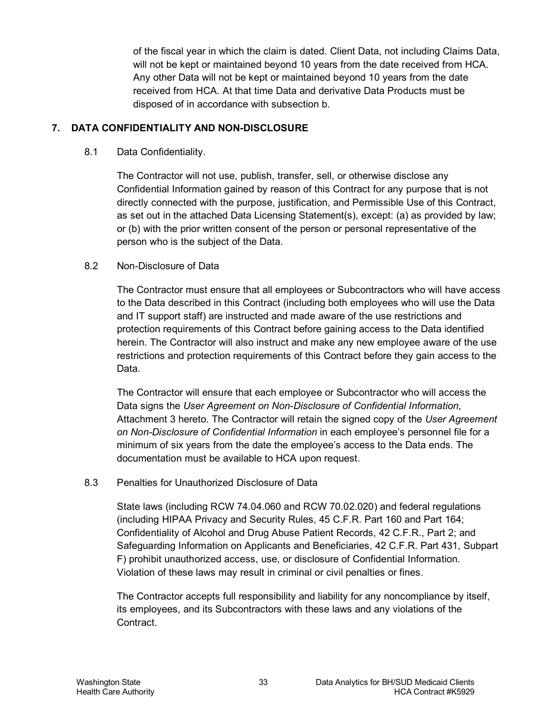of the fiscal year in which the claim is dated. Client Data, not including Claims Data, will not be kept or maintained beyond 10 years from the date received from HCA. Any other Data will not be kept or maintained beyond 10 years from the date received from HCA. At that time Data and derivative Data Products must be disposed of in accordance with subsection b.

#### **7. DATA CONFIDENTIALITY AND NON-DISCLOSURE**

8.1 Data Confidentiality.

The Contractor will not use, publish, transfer, sell, or otherwise disclose any Confidential Information gained by reason of this Contract for any purpose that is not directly connected with the purpose, justification, and Permissible Use of this Contract, as set out in the attached Data Licensing Statement(s), except: (a) as provided by law; or (b) with the prior written consent of the person or personal representative of the person who is the subject of the Data.

#### 8.2 Non-Disclosure of Data

The Contractor must ensure that all employees or Subcontractors who will have access to the Data described in this Contract (including both employees who will use the Data and IT support staff) are instructed and made aware of the use restrictions and protection requirements of this Contract before gaining access to the Data identified herein. The Contractor will also instruct and make any new employee aware of the use restrictions and protection requirements of this Contract before they gain access to the Data.

The Contractor will ensure that each employee or Subcontractor who will access the Data signs the *User Agreement on Non-Disclosure of Confidential Information*, Attachment 3 hereto. The Contractor will retain the signed copy of the *User Agreement on Non-Disclosure of Confidential Information* in each employee's personnel file for a minimum of six years from the date the employee's access to the Data ends. The documentation must be available to HCA upon request.

#### 8.3 Penalties for Unauthorized Disclosure of Data

State laws (including RCW 74.04.060 and RCW 70.02.020) and federal regulations (including HIPAA Privacy and Security Rules, 45 C.F.R. Part 160 and Part 164; Confidentiality of Alcohol and Drug Abuse Patient Records, 42 C.F.R., Part 2; and Safeguarding Information on Applicants and Beneficiaries, 42 C.F.R. Part 431, Subpart F) prohibit unauthorized access, use, or disclosure of Confidential Information. Violation of these laws may result in criminal or civil penalties or fines.

The Contractor accepts full responsibility and liability for any noncompliance by itself, its employees, and its Subcontractors with these laws and any violations of the Contract.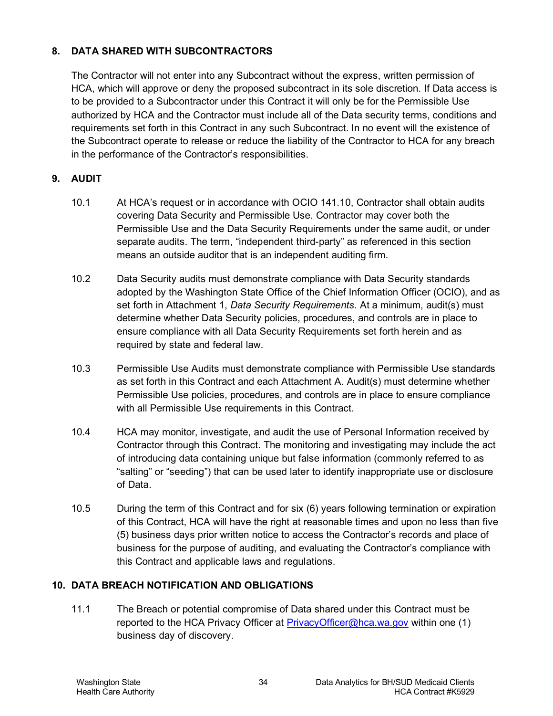## **8. DATA SHARED WITH SUBCONTRACTORS**

The Contractor will not enter into any Subcontract without the express, written permission of HCA, which will approve or deny the proposed subcontract in its sole discretion. If Data access is to be provided to a Subcontractor under this Contract it will only be for the Permissible Use authorized by HCA and the Contractor must include all of the Data security terms, conditions and requirements set forth in this Contract in any such Subcontract. In no event will the existence of the Subcontract operate to release or reduce the liability of the Contractor to HCA for any breach in the performance of the Contractor's responsibilities.

#### **9. AUDIT**

- 10.1 At HCA's request or in accordance with OCIO 141.10, Contractor shall obtain audits covering Data Security and Permissible Use. Contractor may cover both the Permissible Use and the Data Security Requirements under the same audit, or under separate audits. The term, "independent third-party" as referenced in this section means an outside auditor that is an independent auditing firm.
- 10.2 Data Security audits must demonstrate compliance with Data Security standards adopted by the Washington State Office of the Chief Information Officer (OCIO), and as set forth in Attachment 1, *Data Security Requirements*. At a minimum, audit(s) must determine whether Data Security policies, procedures, and controls are in place to ensure compliance with all Data Security Requirements set forth herein and as required by state and federal law.
- 10.3 Permissible Use Audits must demonstrate compliance with Permissible Use standards as set forth in this Contract and each Attachment A. Audit(s) must determine whether Permissible Use policies, procedures, and controls are in place to ensure compliance with all Permissible Use requirements in this Contract.
- 10.4 HCA may monitor, investigate, and audit the use of Personal Information received by Contractor through this Contract. The monitoring and investigating may include the act of introducing data containing unique but false information (commonly referred to as "salting" or "seeding") that can be used later to identify inappropriate use or disclosure of Data.
- 10.5 During the term of this Contract and for six (6) years following termination or expiration of this Contract, HCA will have the right at reasonable times and upon no less than five (5) business days prior written notice to access the Contractor's records and place of business for the purpose of auditing, and evaluating the Contractor's compliance with this Contract and applicable laws and regulations.

#### <span id="page-33-0"></span>**10. DATA BREACH NOTIFICATION AND OBLIGATIONS**

11.1 The Breach or potential compromise of Data shared under this Contract must be reported to the HCA Privacy Officer at [PrivacyOfficer@hca.wa.gov](mailto:PrivacyOfficer@hca.wa.gov) within one (1) business day of discovery.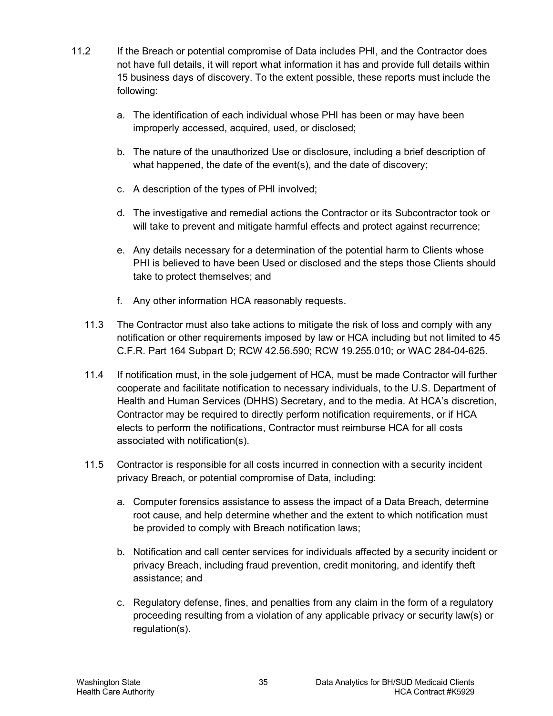- 11.2 If the Breach or potential compromise of Data includes PHI, and the Contractor does not have full details, it will report what information it has and provide full details within 15 business days of discovery. To the extent possible, these reports must include the following:
	- a. The identification of each individual whose PHI has been or may have been improperly accessed, acquired, used, or disclosed;
	- b. The nature of the unauthorized Use or disclosure, including a brief description of what happened, the date of the event(s), and the date of discovery;
	- c. A description of the types of PHI involved;
	- d. The investigative and remedial actions the Contractor or its Subcontractor took or will take to prevent and mitigate harmful effects and protect against recurrence;
	- e. Any details necessary for a determination of the potential harm to Clients whose PHI is believed to have been Used or disclosed and the steps those Clients should take to protect themselves; and
	- f. Any other information HCA reasonably requests.
	- 11.3 The Contractor must also take actions to mitigate the risk of loss and comply with any notification or other requirements imposed by law or HCA including but not limited to 45 C.F.R. Part 164 Subpart D; RCW 42.56.590; RCW 19.255.010; or WAC 284-04-625.
	- 11.4 If notification must, in the sole judgement of HCA, must be made Contractor will further cooperate and facilitate notification to necessary individuals, to the U.S. Department of Health and Human Services (DHHS) Secretary, and to the media. At HCA's discretion, Contractor may be required to directly perform notification requirements, or if HCA elects to perform the notifications, Contractor must reimburse HCA for all costs associated with notification(s).
	- 11.5 Contractor is responsible for all costs incurred in connection with a security incident privacy Breach, or potential compromise of Data, including:
		- a. Computer forensics assistance to assess the impact of a Data Breach, determine root cause, and help determine whether and the extent to which notification must be provided to comply with Breach notification laws;
		- b. Notification and call center services for individuals affected by a security incident or privacy Breach, including fraud prevention, credit monitoring, and identify theft assistance; and
		- c. Regulatory defense, fines, and penalties from any claim in the form of a regulatory proceeding resulting from a violation of any applicable privacy or security law(s) or regulation(s).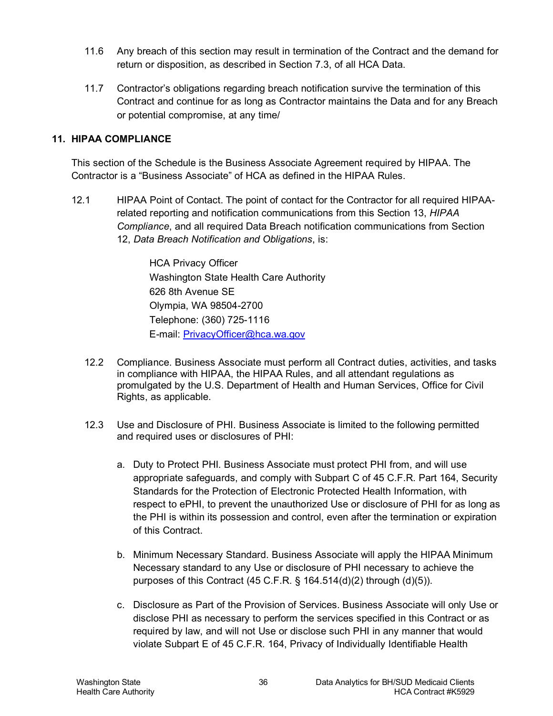- 11.6 Any breach of this section may result in termination of the Contract and the demand for return or disposition, as described in Section 7.3, of all HCA Data.
- 11.7 Contractor's obligations regarding breach notification survive the termination of this Contract and continue for as long as Contractor maintains the Data and for any Breach or potential compromise, at any time/

#### <span id="page-35-0"></span>**11. HIPAA COMPLIANCE**

This section of the Schedule is the Business Associate Agreement required by HIPAA. The Contractor is a "Business Associate" of HCA as defined in the HIPAA Rules.

12.1 HIPAA Point of Contact. The point of contact for the Contractor for all required HIPAArelated reporting and notification communications from this Section [13,](#page-35-0) *HIPAA Compliance*, and all required Data Breach notification communications from Section [12,](#page-33-0) *Data Breach Notification and Obligations*, is:

> HCA Privacy Officer Washington State Health Care Authority 626 8th Avenue SE Olympia, WA 98504-2700 Telephone: (360) 725-1116 E-mail: [PrivacyOfficer@hca.wa.gov](mailto:PrivacyOfficer@hca.wa.gov)

- 12.2 Compliance. Business Associate must perform all Contract duties, activities, and tasks in compliance with HIPAA, the HIPAA Rules, and all attendant regulations as promulgated by the U.S. Department of Health and Human Services, Office for Civil Rights, as applicable.
- 12.3 Use and Disclosure of PHI. Business Associate is limited to the following permitted and required uses or disclosures of PHI:
	- a. Duty to Protect PHI. Business Associate must protect PHI from, and will use appropriate safeguards, and comply with Subpart C of 45 C.F.R. Part 164, Security Standards for the Protection of Electronic Protected Health Information, with respect to ePHI, to prevent the unauthorized Use or disclosure of PHI for as long as the PHI is within its possession and control, even after the termination or expiration of this Contract.
	- b. Minimum Necessary Standard. Business Associate will apply the HIPAA Minimum Necessary standard to any Use or disclosure of PHI necessary to achieve the purposes of this Contract (45 C.F.R. § 164.514(d)(2) through (d)(5)).
	- c. Disclosure as Part of the Provision of Services. Business Associate will only Use or disclose PHI as necessary to perform the services specified in this Contract or as required by law, and will not Use or disclose such PHI in any manner that would violate Subpart E of 45 C.F.R. 164, Privacy of Individually Identifiable Health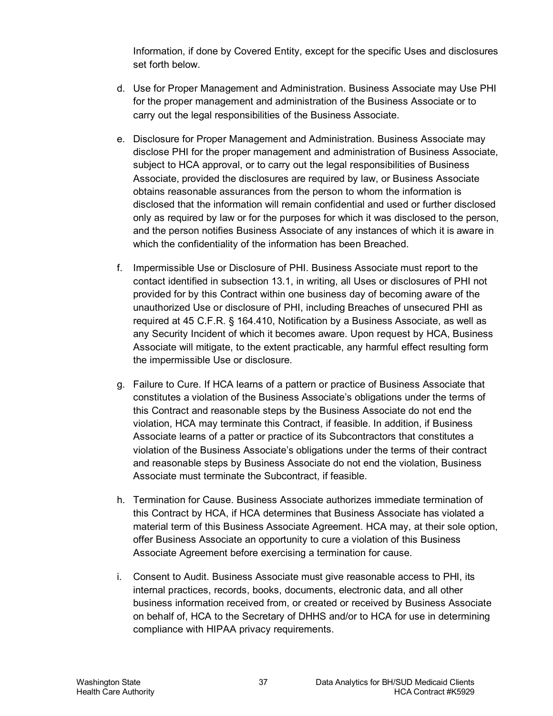Information, if done by Covered Entity, except for the specific Uses and disclosures set forth below.

- d. Use for Proper Management and Administration. Business Associate may Use PHI for the proper management and administration of the Business Associate or to carry out the legal responsibilities of the Business Associate.
- e. Disclosure for Proper Management and Administration. Business Associate may disclose PHI for the proper management and administration of Business Associate, subject to HCA approval, or to carry out the legal responsibilities of Business Associate, provided the disclosures are required by law, or Business Associate obtains reasonable assurances from the person to whom the information is disclosed that the information will remain confidential and used or further disclosed only as required by law or for the purposes for which it was disclosed to the person, and the person notifies Business Associate of any instances of which it is aware in which the confidentiality of the information has been Breached.
- f. Impermissible Use or Disclosure of PHI. Business Associate must report to the contact identified in subsection 13.1, in writing, all Uses or disclosures of PHI not provided for by this Contract within one business day of becoming aware of the unauthorized Use or disclosure of PHI, including Breaches of unsecured PHI as required at 45 C.F.R. § 164.410, Notification by a Business Associate, as well as any Security Incident of which it becomes aware. Upon request by HCA, Business Associate will mitigate, to the extent practicable, any harmful effect resulting form the impermissible Use or disclosure.
- g. Failure to Cure. If HCA learns of a pattern or practice of Business Associate that constitutes a violation of the Business Associate's obligations under the terms of this Contract and reasonable steps by the Business Associate do not end the violation, HCA may terminate this Contract, if feasible. In addition, if Business Associate learns of a patter or practice of its Subcontractors that constitutes a violation of the Business Associate's obligations under the terms of their contract and reasonable steps by Business Associate do not end the violation, Business Associate must terminate the Subcontract, if feasible.
- h. Termination for Cause. Business Associate authorizes immediate termination of this Contract by HCA, if HCA determines that Business Associate has violated a material term of this Business Associate Agreement. HCA may, at their sole option, offer Business Associate an opportunity to cure a violation of this Business Associate Agreement before exercising a termination for cause.
- i. Consent to Audit. Business Associate must give reasonable access to PHI, its internal practices, records, books, documents, electronic data, and all other business information received from, or created or received by Business Associate on behalf of, HCA to the Secretary of DHHS and/or to HCA for use in determining compliance with HIPAA privacy requirements.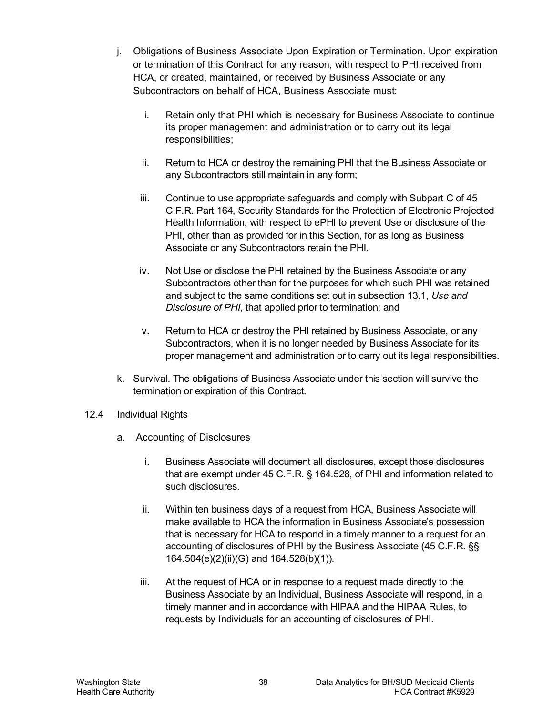- j. Obligations of Business Associate Upon Expiration or Termination. Upon expiration or termination of this Contract for any reason, with respect to PHI received from HCA, or created, maintained, or received by Business Associate or any Subcontractors on behalf of HCA, Business Associate must:
	- i. Retain only that PHI which is necessary for Business Associate to continue its proper management and administration or to carry out its legal responsibilities;
	- ii. Return to HCA or destroy the remaining PHI that the Business Associate or any Subcontractors still maintain in any form;
	- iii. Continue to use appropriate safeguards and comply with Subpart C of 45 C.F.R. Part 164, Security Standards for the Protection of Electronic Projected Health Information, with respect to ePHI to prevent Use or disclosure of the PHI, other than as provided for in this Section, for as long as Business Associate or any Subcontractors retain the PHI.
	- iv. Not Use or disclose the PHI retained by the Business Associate or any Subcontractors other than for the purposes for which such PHI was retained and subject to the same conditions set out in subsection 13.1, *Use and Disclosure of PHI*, that applied prior to termination; and
	- v. Return to HCA or destroy the PHI retained by Business Associate, or any Subcontractors, when it is no longer needed by Business Associate for its proper management and administration or to carry out its legal responsibilities.
- k. Survival. The obligations of Business Associate under this section will survive the termination or expiration of this Contract.
- 12.4 Individual Rights
	- a. Accounting of Disclosures
		- i. Business Associate will document all disclosures, except those disclosures that are exempt under 45 C.F.R. § 164.528, of PHI and information related to such disclosures.
		- ii. Within ten business days of a request from HCA, Business Associate will make available to HCA the information in Business Associate's possession that is necessary for HCA to respond in a timely manner to a request for an accounting of disclosures of PHI by the Business Associate (45 C.F.R. §§ 164.504(e)(2)(ii)(G) and 164.528(b)(1)).
		- iii. At the request of HCA or in response to a request made directly to the Business Associate by an Individual, Business Associate will respond, in a timely manner and in accordance with HIPAA and the HIPAA Rules, to requests by Individuals for an accounting of disclosures of PHI.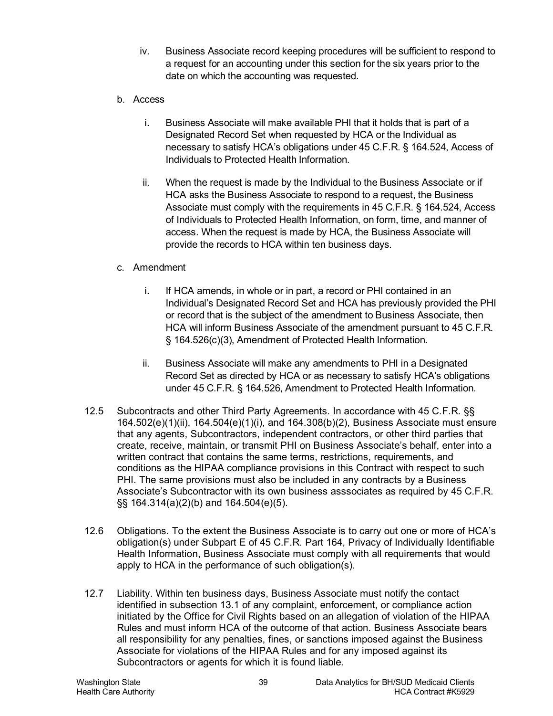- iv. Business Associate record keeping procedures will be sufficient to respond to a request for an accounting under this section for the six years prior to the date on which the accounting was requested.
- b. Access
	- i. Business Associate will make available PHI that it holds that is part of a Designated Record Set when requested by HCA or the Individual as necessary to satisfy HCA's obligations under 45 C.F.R. § 164.524, Access of Individuals to Protected Health Information.
	- ii. When the request is made by the Individual to the Business Associate or if HCA asks the Business Associate to respond to a request, the Business Associate must comply with the requirements in 45 C.F.R. § 164.524, Access of Individuals to Protected Health Information, on form, time, and manner of access. When the request is made by HCA, the Business Associate will provide the records to HCA within ten business days.

## c. Amendment

- i. If HCA amends, in whole or in part, a record or PHI contained in an Individual's Designated Record Set and HCA has previously provided the PHI or record that is the subject of the amendment to Business Associate, then HCA will inform Business Associate of the amendment pursuant to 45 C.F.R. § 164.526(c)(3), Amendment of Protected Health Information.
- ii. Business Associate will make any amendments to PHI in a Designated Record Set as directed by HCA or as necessary to satisfy HCA's obligations under 45 C.F.R. § 164.526, Amendment to Protected Health Information.
- 12.5 Subcontracts and other Third Party Agreements. In accordance with 45 C.F.R. §§ 164.502(e)(1)(ii), 164.504(e)(1)(i), and 164.308(b)(2), Business Associate must ensure that any agents, Subcontractors, independent contractors, or other third parties that create, receive, maintain, or transmit PHI on Business Associate's behalf, enter into a written contract that contains the same terms, restrictions, requirements, and conditions as the HIPAA compliance provisions in this Contract with respect to such PHI. The same provisions must also be included in any contracts by a Business Associate's Subcontractor with its own business asssociates as required by 45 C.F.R. §§ 164.314(a)(2)(b) and 164.504(e)(5).
- 12.6 Obligations. To the extent the Business Associate is to carry out one or more of HCA's obligation(s) under Subpart E of 45 C.F.R. Part 164, Privacy of Individually Identifiable Health Information, Business Associate must comply with all requirements that would apply to HCA in the performance of such obligation(s).
- 12.7 Liability. Within ten business days, Business Associate must notify the contact identified in subsection 13.1 of any complaint, enforcement, or compliance action initiated by the Office for Civil Rights based on an allegation of violation of the HIPAA Rules and must inform HCA of the outcome of that action. Business Associate bears all responsibility for any penalties, fines, or sanctions imposed against the Business Associate for violations of the HIPAA Rules and for any imposed against its Subcontractors or agents for which it is found liable.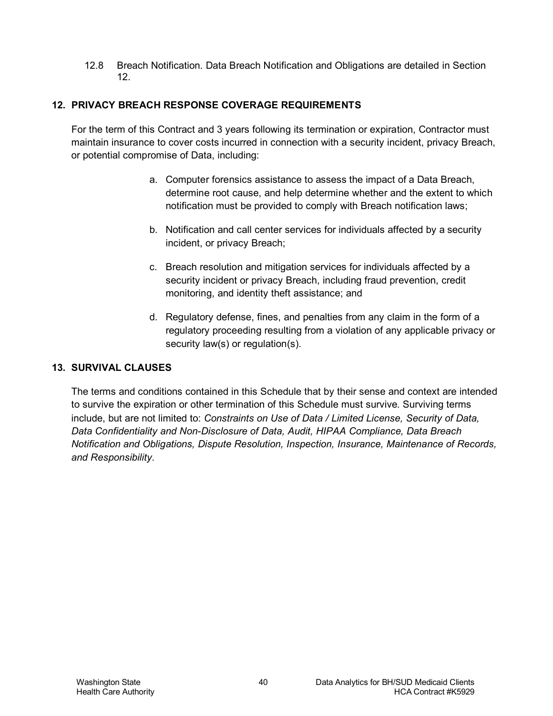12.8 Breach Notification. Data Breach Notification and Obligations are detailed in Section [12.](#page-33-0)

## **12. PRIVACY BREACH RESPONSE COVERAGE REQUIREMENTS**

For the term of this Contract and 3 years following its termination or expiration, Contractor must maintain insurance to cover costs incurred in connection with a security incident, privacy Breach, or potential compromise of Data, including:

- a. Computer forensics assistance to assess the impact of a Data Breach, determine root cause, and help determine whether and the extent to which notification must be provided to comply with Breach notification laws;
- b. Notification and call center services for individuals affected by a security incident, or privacy Breach;
- c. Breach resolution and mitigation services for individuals affected by a security incident or privacy Breach, including fraud prevention, credit monitoring, and identity theft assistance; and
- d. Regulatory defense, fines, and penalties from any claim in the form of a regulatory proceeding resulting from a violation of any applicable privacy or security law(s) or regulation(s).

## **13. SURVIVAL CLAUSES**

The terms and conditions contained in this Schedule that by their sense and context are intended to survive the expiration or other termination of this Schedule must survive. Surviving terms include, but are not limited to: *Constraints on Use of Data / Limited License, Security of Data, Data Confidentiality and Non-Disclosure of Data, Audit, HIPAA Compliance, Data Breach Notification and Obligations, Dispute Resolution, Inspection, Insurance, Maintenance of Records, and Responsibility.*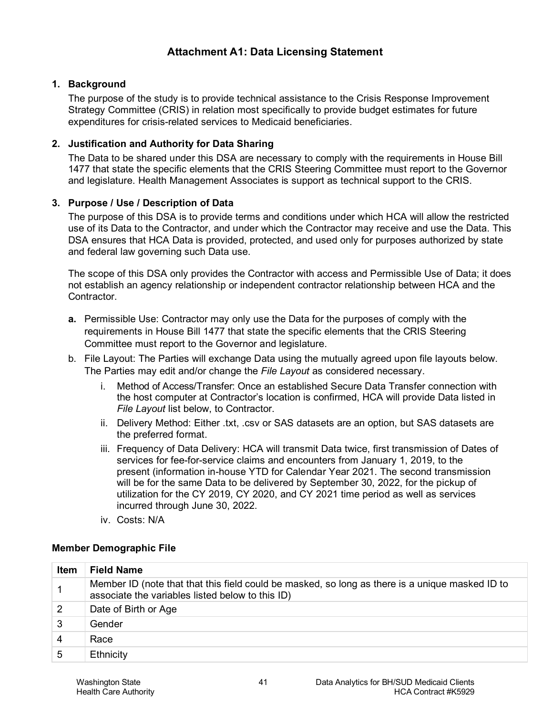### **1. Background**

The purpose of the study is to provide technical assistance to the Crisis Response Improvement Strategy Committee (CRIS) in relation most specifically to provide budget estimates for future expenditures for crisis-related services to Medicaid beneficiaries.

#### **2. Justification and Authority for Data Sharing**

The Data to be shared under this DSA are necessary to comply with the requirements in House Bill 1477 that state the specific elements that the CRIS Steering Committee must report to the Governor and legislature. Health Management Associates is support as technical support to the CRIS.

#### **3. Purpose / Use / Description of Data**

The purpose of this DSA is to provide terms and conditions under which HCA will allow the restricted use of its Data to the Contractor, and under which the Contractor may receive and use the Data. This DSA ensures that HCA Data is provided, protected, and used only for purposes authorized by state and federal law governing such Data use.

The scope of this DSA only provides the Contractor with access and Permissible Use of Data; it does not establish an agency relationship or independent contractor relationship between HCA and the Contractor.

- **a.** Permissible Use: Contractor may only use the Data for the purposes of comply with the requirements in House Bill 1477 that state the specific elements that the CRIS Steering Committee must report to the Governor and legislature.
- b. File Layout: The Parties will exchange Data using the mutually agreed upon file layouts below. The Parties may edit and/or change the *File Layout* as considered necessary.
	- i. Method of Access/Transfer: Once an established Secure Data Transfer connection with the host computer at Contractor's location is confirmed, HCA will provide Data listed in *File Layout* list below, to Contractor.
	- ii. Delivery Method: Either .txt, .csv or SAS datasets are an option, but SAS datasets are the preferred format.
	- iii. Frequency of Data Delivery: HCA will transmit Data twice, first transmission of Dates of services for fee-for-service claims and encounters from January 1, 2019, to the present (information in-house YTD for Calendar Year 2021. The second transmission will be for the same Data to be delivered by September 30, 2022, for the pickup of utilization for the CY 2019, CY 2020, and CY 2021 time period as well as services incurred through June 30, 2022.
	- iv. Costs: N/A

#### **Member Demographic File**

| <b>Item</b> | <b>Field Name</b>                                                                                                                                   |
|-------------|-----------------------------------------------------------------------------------------------------------------------------------------------------|
|             | Member ID (note that that this field could be masked, so long as there is a unique masked ID to<br>associate the variables listed below to this ID) |
|             | Date of Birth or Age                                                                                                                                |
| 3           | Gender                                                                                                                                              |
| 4           | Race                                                                                                                                                |
| 5           | Ethnicity                                                                                                                                           |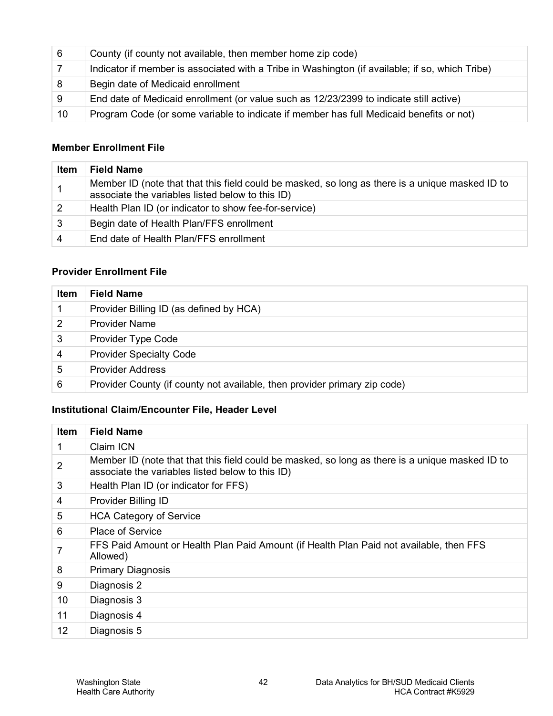| - 6 | County (if county not available, then member home zip code)                                     |
|-----|-------------------------------------------------------------------------------------------------|
|     | Indicator if member is associated with a Tribe in Washington (if available; if so, which Tribe) |
| - 8 | Begin date of Medicaid enrollment                                                               |
| -9  | End date of Medicaid enrollment (or value such as 12/23/2399 to indicate still active)          |
| 10  | Program Code (or some variable to indicate if member has full Medicaid benefits or not)         |

#### **Member Enrollment File**

| Item | <b>Field Name</b>                                                                                                                                   |
|------|-----------------------------------------------------------------------------------------------------------------------------------------------------|
|      | Member ID (note that that this field could be masked, so long as there is a unique masked ID to<br>associate the variables listed below to this ID) |
| 2    | Health Plan ID (or indicator to show fee-for-service)                                                                                               |
| 3    | Begin date of Health Plan/FFS enrollment                                                                                                            |
| 4    | End date of Health Plan/FFS enrollment                                                                                                              |

#### **Provider Enrollment File**

| <b>Item</b> | <b>Field Name</b>                                                         |
|-------------|---------------------------------------------------------------------------|
|             | Provider Billing ID (as defined by HCA)                                   |
| 2           | <b>Provider Name</b>                                                      |
| 3           | <b>Provider Type Code</b>                                                 |
| 4           | <b>Provider Specialty Code</b>                                            |
| 5           | <b>Provider Address</b>                                                   |
| 6           | Provider County (if county not available, then provider primary zip code) |

## **Institutional Claim/Encounter File, Header Level**

| <b>Item</b> | <b>Field Name</b>                                                                                                                                   |
|-------------|-----------------------------------------------------------------------------------------------------------------------------------------------------|
| 1           | Claim ICN                                                                                                                                           |
| 2           | Member ID (note that that this field could be masked, so long as there is a unique masked ID to<br>associate the variables listed below to this ID) |
| 3           | Health Plan ID (or indicator for FFS)                                                                                                               |
| 4           | <b>Provider Billing ID</b>                                                                                                                          |
| 5           | <b>HCA Category of Service</b>                                                                                                                      |
| 6           | <b>Place of Service</b>                                                                                                                             |
| 7           | FFS Paid Amount or Health Plan Paid Amount (if Health Plan Paid not available, then FFS<br>Allowed)                                                 |
| 8           | <b>Primary Diagnosis</b>                                                                                                                            |
| 9           | Diagnosis 2                                                                                                                                         |
| 10          | Diagnosis 3                                                                                                                                         |
| 11          | Diagnosis 4                                                                                                                                         |
| 12          | Diagnosis 5                                                                                                                                         |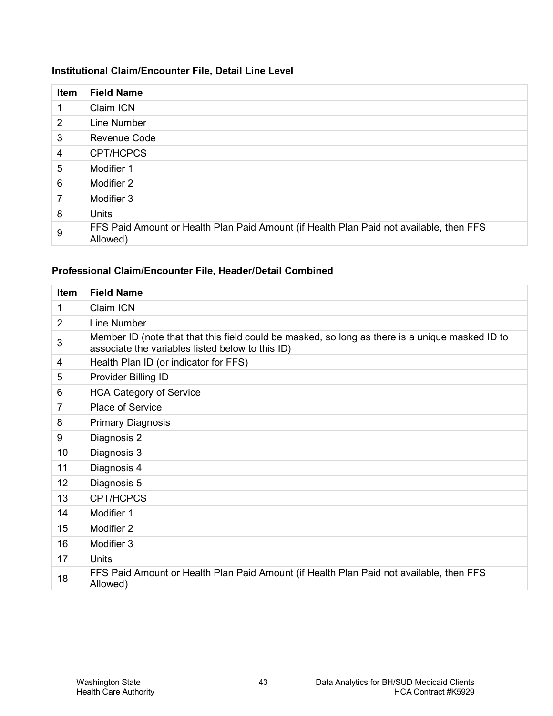## **Institutional Claim/Encounter File, Detail Line Level**

| <b>Item</b>    | <b>Field Name</b>                                                                                   |
|----------------|-----------------------------------------------------------------------------------------------------|
| 1              | Claim ICN                                                                                           |
| $\overline{2}$ | Line Number                                                                                         |
| 3              | <b>Revenue Code</b>                                                                                 |
| 4              | <b>CPT/HCPCS</b>                                                                                    |
| 5              | Modifier 1                                                                                          |
| 6              | Modifier 2                                                                                          |
| 7              | Modifier 3                                                                                          |
| 8              | Units                                                                                               |
| 9              | FFS Paid Amount or Health Plan Paid Amount (if Health Plan Paid not available, then FFS<br>Allowed) |

#### **Professional Claim/Encounter File, Header/Detail Combined**

| Item           | <b>Field Name</b>                                                                                                                                   |
|----------------|-----------------------------------------------------------------------------------------------------------------------------------------------------|
| 1              | Claim ICN                                                                                                                                           |
| 2              | Line Number                                                                                                                                         |
| 3              | Member ID (note that that this field could be masked, so long as there is a unique masked ID to<br>associate the variables listed below to this ID) |
| 4              | Health Plan ID (or indicator for FFS)                                                                                                               |
| 5              | Provider Billing ID                                                                                                                                 |
| 6              | <b>HCA Category of Service</b>                                                                                                                      |
| $\overline{7}$ | Place of Service                                                                                                                                    |
| 8              | <b>Primary Diagnosis</b>                                                                                                                            |
| 9              | Diagnosis 2                                                                                                                                         |
| 10             | Diagnosis 3                                                                                                                                         |
| 11             | Diagnosis 4                                                                                                                                         |
| 12             | Diagnosis 5                                                                                                                                         |
| 13             | CPT/HCPCS                                                                                                                                           |
| 14             | Modifier 1                                                                                                                                          |
| 15             | Modifier 2                                                                                                                                          |
| 16             | Modifier 3                                                                                                                                          |
| 17             | Units                                                                                                                                               |
| 18             | FFS Paid Amount or Health Plan Paid Amount (if Health Plan Paid not available, then FFS<br>Allowed)                                                 |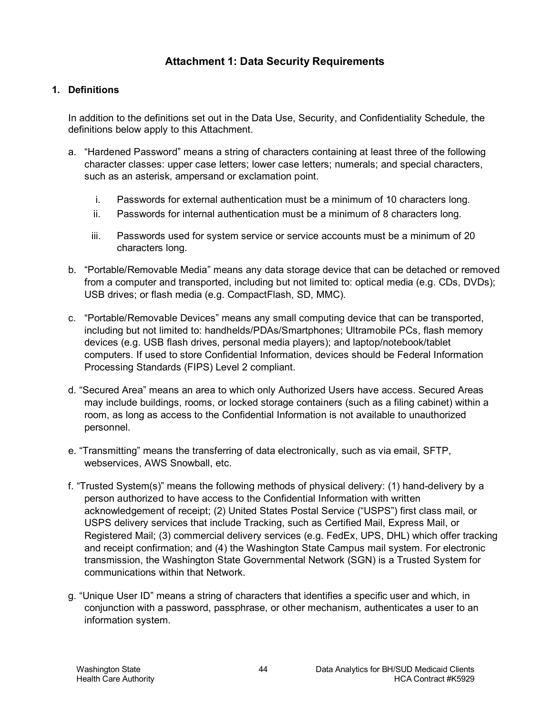## **Attachment 1: Data Security Requirements**

#### **1. Definitions**

In addition to the definitions set out in the Data Use, Security, and Confidentiality Schedule, the definitions below apply to this Attachment.

- a. "Hardened Password" means a string of characters containing at least three of the following character classes: upper case letters; lower case letters; numerals; and special characters, such as an asterisk, ampersand or exclamation point.
	- i. Passwords for external authentication must be a minimum of 10 characters long.
	- ii. Passwords for internal authentication must be a minimum of 8 characters long.
	- iii. Passwords used for system service or service accounts must be a minimum of 20 characters long.
- b. "Portable/Removable Media" means any data storage device that can be detached or removed from a computer and transported, including but not limited to: optical media (e.g. CDs, DVDs); USB drives; or flash media (e.g. CompactFlash, SD, MMC).
- c. "Portable/Removable Devices" means any small computing device that can be transported, including but not limited to: handhelds/PDAs/Smartphones; Ultramobile PCs, flash memory devices (e.g. USB flash drives, personal media players); and laptop/notebook/tablet computers. If used to store Confidential Information, devices should be Federal Information Processing Standards (FIPS) Level 2 compliant.
- d. "Secured Area" means an area to which only Authorized Users have access. Secured Areas may include buildings, rooms, or locked storage containers (such as a filing cabinet) within a room, as long as access to the Confidential Information is not available to unauthorized personnel.
- e. "Transmitting" means the transferring of data electronically, such as via email, SFTP, webservices, AWS Snowball, etc.
- f. "Trusted System(s)" means the following methods of physical delivery: (1) hand-delivery by a person authorized to have access to the Confidential Information with written acknowledgement of receipt; (2) United States Postal Service ("USPS") first class mail, or USPS delivery services that include Tracking, such as Certified Mail, Express Mail, or Registered Mail; (3) commercial delivery services (e.g. FedEx, UPS, DHL) which offer tracking and receipt confirmation; and (4) the Washington State Campus mail system. For electronic transmission, the Washington State Governmental Network (SGN) is a Trusted System for communications within that Network.
- g. "Unique User ID" means a string of characters that identifies a specific user and which, in conjunction with a password, passphrase, or other mechanism, authenticates a user to an information system.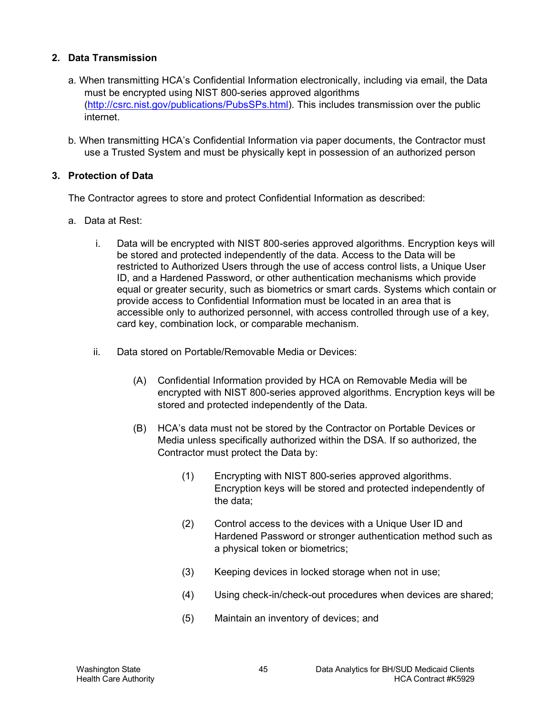## **2. Data Transmission**

- a. When transmitting HCA's Confidential Information electronically, including via email, the Data must be encrypted using NIST 800-series approved algorithms [\(http://csrc.nist.gov/publications/PubsSPs.html\)](http://csrc.nist.gov/publications/PubsSPs.html). This includes transmission over the public internet.
- b. When transmitting HCA's Confidential Information via paper documents, the Contractor must use a Trusted System and must be physically kept in possession of an authorized person

#### <span id="page-44-0"></span>**3. Protection of Data**

The Contractor agrees to store and protect Confidential Information as described:

- a. Data at Rest:
	- i. Data will be encrypted with NIST 800-series approved algorithms. Encryption keys will be stored and protected independently of the data. Access to the Data will be restricted to Authorized Users through the use of access control lists, a Unique User ID, and a Hardened Password, or other authentication mechanisms which provide equal or greater security, such as biometrics or smart cards. Systems which contain or provide access to Confidential Information must be located in an area that is accessible only to authorized personnel, with access controlled through use of a key, card key, combination lock, or comparable mechanism.
	- ii. Data stored on Portable/Removable Media or Devices:
		- (A) Confidential Information provided by HCA on Removable Media will be encrypted with NIST 800-series approved algorithms. Encryption keys will be stored and protected independently of the Data.
		- (B) HCA's data must not be stored by the Contractor on Portable Devices or Media unless specifically authorized within the DSA. If so authorized, the Contractor must protect the Data by:
			- (1) Encrypting with NIST 800-series approved algorithms. Encryption keys will be stored and protected independently of the data;
			- (2) Control access to the devices with a Unique User ID and Hardened Password or stronger authentication method such as a physical token or biometrics;
			- (3) Keeping devices in locked storage when not in use;
			- (4) Using check-in/check-out procedures when devices are shared;
			- (5) Maintain an inventory of devices; and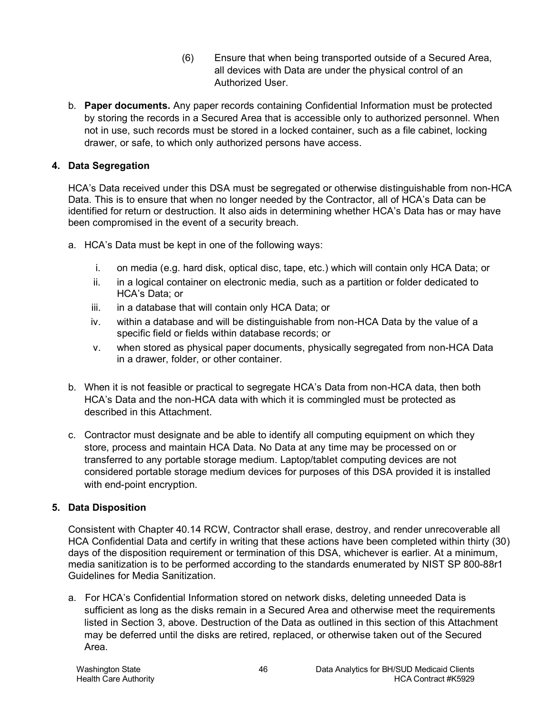- (6) Ensure that when being transported outside of a Secured Area, all devices with Data are under the physical control of an Authorized User.
- b. **Paper documents.** Any paper records containing Confidential Information must be protected by storing the records in a Secured Area that is accessible only to authorized personnel. When not in use, such records must be stored in a locked container, such as a file cabinet, locking drawer, or safe, to which only authorized persons have access.

## **4. Data Segregation**

HCA's Data received under this DSA must be segregated or otherwise distinguishable from non-HCA Data. This is to ensure that when no longer needed by the Contractor, all of HCA's Data can be identified for return or destruction. It also aids in determining whether HCA's Data has or may have been compromised in the event of a security breach.

- a. HCA's Data must be kept in one of the following ways:
	- i. on media (e.g. hard disk, optical disc, tape, etc.) which will contain only HCA Data; or
	- ii. in a logical container on electronic media, such as a partition or folder dedicated to HCA's Data; or
	- iii. in a database that will contain only HCA Data; or
	- iv. within a database and will be distinguishable from non-HCA Data by the value of a specific field or fields within database records; or
	- v. when stored as physical paper documents, physically segregated from non-HCA Data in a drawer, folder, or other container.
- b. When it is not feasible or practical to segregate HCA's Data from non-HCA data, then both HCA's Data and the non-HCA data with which it is commingled must be protected as described in this Attachment.
- c. Contractor must designate and be able to identify all computing equipment on which they store, process and maintain HCA Data. No Data at any time may be processed on or transferred to any portable storage medium. Laptop/tablet computing devices are not considered portable storage medium devices for purposes of this DSA provided it is installed with end-point encryption.

## <span id="page-45-0"></span>**5. Data Disposition**

Consistent with Chapter 40.14 RCW, Contractor shall erase, destroy, and render unrecoverable all HCA Confidential Data and certify in writing that these actions have been completed within thirty (30) days of the disposition requirement or termination of this DSA, whichever is earlier. At a minimum, media sanitization is to be performed according to the standards enumerated by NIST SP 800-88r1 Guidelines for Media Sanitization.

a. For HCA's Confidential Information stored on network disks, deleting unneeded Data is sufficient as long as the disks remain in a Secured Area and otherwise meet the requirements listed in Section [3,](#page-44-0) above. Destruction of the Data as outlined in this section of this Attachment may be deferred until the disks are retired, replaced, or otherwise taken out of the Secured Area.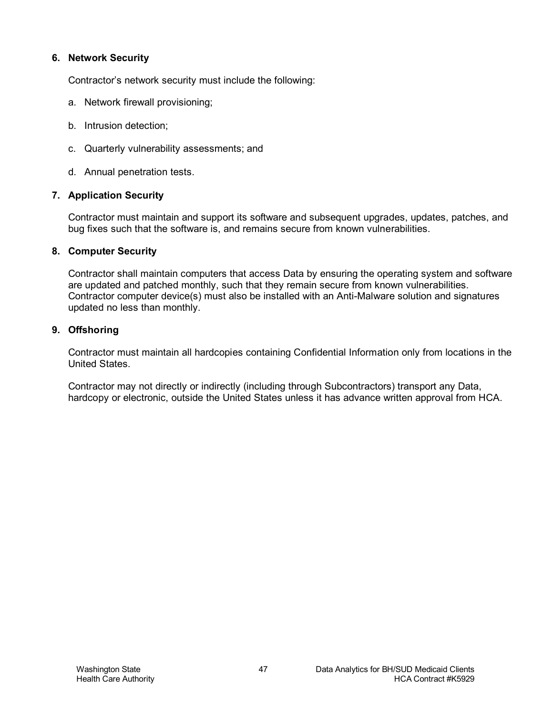#### **6. Network Security**

Contractor's network security must include the following:

- a. Network firewall provisioning;
- b. Intrusion detection;
- c. Quarterly vulnerability assessments; and
- d. Annual penetration tests.

#### **7. Application Security**

Contractor must maintain and support its software and subsequent upgrades, updates, patches, and bug fixes such that the software is, and remains secure from known vulnerabilities.

#### **8. Computer Security**

Contractor shall maintain computers that access Data by ensuring the operating system and software are updated and patched monthly, such that they remain secure from known vulnerabilities. Contractor computer device(s) must also be installed with an Anti-Malware solution and signatures updated no less than monthly.

#### **9. Offshoring**

Contractor must maintain all hardcopies containing Confidential Information only from locations in the United States.

Contractor may not directly or indirectly (including through Subcontractors) transport any Data, hardcopy or electronic, outside the United States unless it has advance written approval from HCA.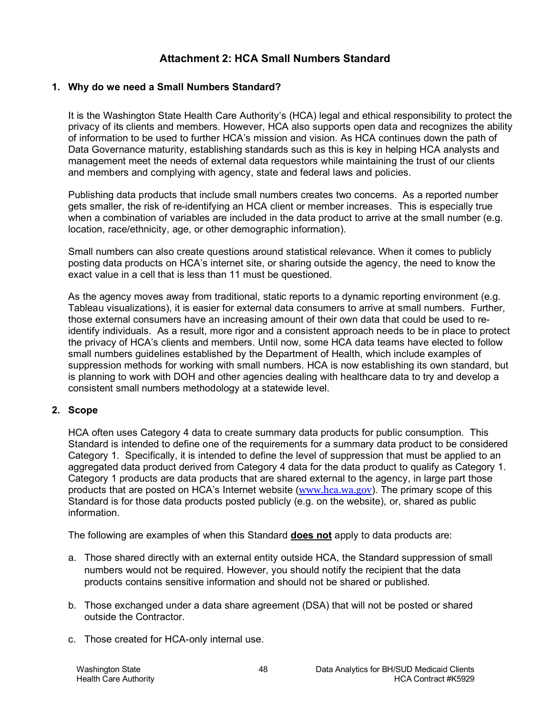## **Attachment 2: HCA Small Numbers Standard**

#### **1. Why do we need a Small Numbers Standard?**

It is the Washington State Health Care Authority's (HCA) legal and ethical responsibility to protect the privacy of its clients and members. However, HCA also supports open data and recognizes the ability of information to be used to further HCA's mission and vision. As HCA continues down the path of Data Governance maturity, establishing standards such as this is key in helping HCA analysts and management meet the needs of external data requestors while maintaining the trust of our clients and members and complying with agency, state and federal laws and policies.

Publishing data products that include small numbers creates two concerns. As a reported number gets smaller, the risk of re-identifying an HCA client or member increases. This is especially true when a combination of variables are included in the data product to arrive at the small number (e.g. location, race/ethnicity, age, or other demographic information).

Small numbers can also create questions around statistical relevance. When it comes to publicly posting data products on HCA's internet site, or sharing outside the agency, the need to know the exact value in a cell that is less than 11 must be questioned.

As the agency moves away from traditional, static reports to a dynamic reporting environment (e.g. Tableau visualizations), it is easier for external data consumers to arrive at small numbers. Further, those external consumers have an increasing amount of their own data that could be used to reidentify individuals. As a result, more rigor and a consistent approach needs to be in place to protect the privacy of HCA's clients and members. Until now, some HCA data teams have elected to follow small numbers guidelines established by the Department of Health, which include examples of suppression methods for working with small numbers. HCA is now establishing its own standard, but is planning to work with DOH and other agencies dealing with healthcare data to try and develop a consistent small numbers methodology at a statewide level.

#### **2. Scope**

HCA often uses Category 4 data to create summary data products for public consumption. This Standard is intended to define one of the requirements for a summary data product to be considered Category 1. Specifically, it is intended to define the level of suppression that must be applied to an aggregated data product derived from Category 4 data for the data product to qualify as Category 1. Category 1 products are data products that are shared external to the agency, in large part those products that are posted on HCA's Internet website ([www.hca.wa.gov](http://www.hca.wa.gov/)). The primary scope of this Standard is for those data products posted publicly (e.g. on the website), or, shared as public information.

The following are examples of when this Standard **does not** apply to data products are:

- a. Those shared directly with an external entity outside HCA, the Standard suppression of small numbers would not be required. However, you should notify the recipient that the data products contains sensitive information and should not be shared or published.
- b. Those exchanged under a data share agreement (DSA) that will not be posted or shared outside the Contractor.
- c. Those created for HCA-only internal use.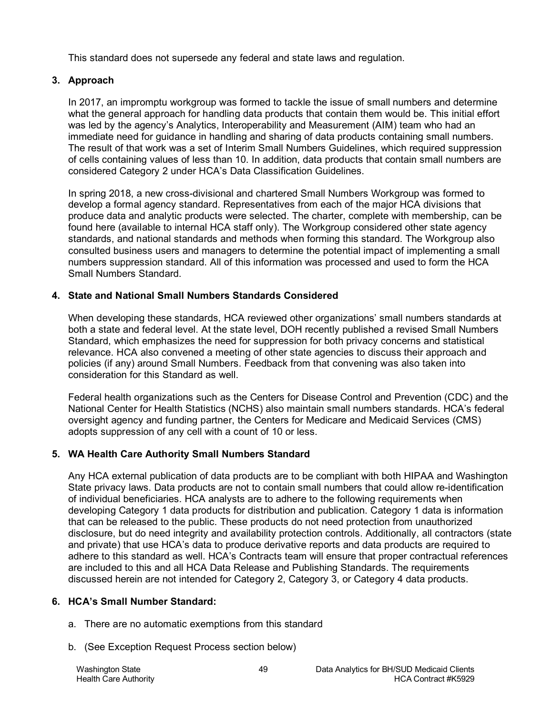This standard does not supersede any federal and state laws and regulation.

## **3. Approach**

In 2017, an impromptu workgroup was formed to tackle the issue of small numbers and determine what the general approach for handling data products that contain them would be. This initial effort was led by the agency's Analytics, Interoperability and Measurement (AIM) team who had an immediate need for guidance in handling and sharing of data products containing small numbers. The result of that work was a set of Interim Small Numbers Guidelines, which required suppression of cells containing values of less than 10. In addition, data products that contain small numbers are considered Category 2 under HCA's Data Classification Guidelines.

In spring 2018, a new cross-divisional and chartered Small Numbers Workgroup was formed to develop a formal agency standard. Representatives from each of the major HCA divisions that produce data and analytic products were selected. The charter, complete with membership, can be found here (available to internal HCA staff only). The Workgroup considered other state agency standards, and national standards and methods when forming this standard. The Workgroup also consulted business users and managers to determine the potential impact of implementing a small numbers suppression standard. All of this information was processed and used to form the HCA Small Numbers Standard.

## **4. State and National Small Numbers Standards Considered**

When developing these standards, HCA reviewed other organizations' small numbers standards at both a state and federal level. At the state level, DOH recently published a revised Small Numbers Standard, which emphasizes the need for suppression for both privacy concerns and statistical relevance. HCA also convened a meeting of other state agencies to discuss their approach and policies (if any) around Small Numbers. Feedback from that convening was also taken into consideration for this Standard as well.

Federal health organizations such as the Centers for Disease Control and Prevention (CDC) and the National Center for Health Statistics (NCHS) also maintain small numbers standards. HCA's federal oversight agency and funding partner, the Centers for Medicare and Medicaid Services (CMS) adopts suppression of any cell with a count of 10 or less.

## **5. WA Health Care Authority Small Numbers Standard**

Any HCA external publication of data products are to be compliant with both HIPAA and Washington State privacy laws. Data products are not to contain small numbers that could allow re-identification of individual beneficiaries. HCA analysts are to adhere to the following requirements when developing Category 1 data products for distribution and publication. Category 1 data is information that can be released to the public. These products do not need protection from unauthorized disclosure, but do need integrity and availability protection controls. Additionally, all contractors (state and private) that use HCA's data to produce derivative reports and data products are required to adhere to this standard as well. HCA's Contracts team will ensure that proper contractual references are included to this and all HCA Data Release and Publishing Standards. The requirements discussed herein are not intended for Category 2, Category 3, or Category 4 data products.

## **6. HCA's Small Number Standard:**

- a. There are no automatic exemptions from this standard
- b. (See Exception Request Process section below)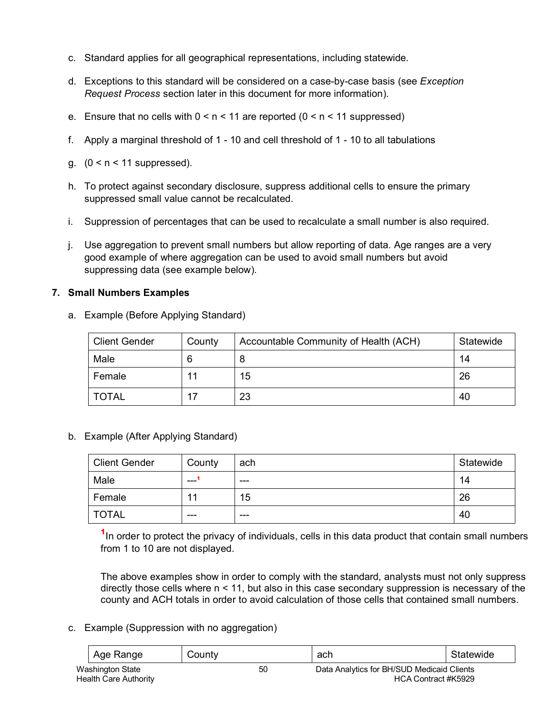- c. Standard applies for all geographical representations, including statewide.
- d. Exceptions to this standard will be considered on a case-by-case basis (see *Exception Request Process* section later in this document for more information).
- e. Ensure that no cells with  $0 \le n \le 11$  are reported  $(0 \le n \le 11$  suppressed)
- f. Apply a marginal threshold of 1 10 and cell threshold of 1 10 to all tabulations
- g.  $(0 < n < 11$  suppressed).
- h. To protect against secondary disclosure, suppress additional cells to ensure the primary suppressed small value cannot be recalculated.
- i. Suppression of percentages that can be used to recalculate a small number is also required.
- j. Use aggregation to prevent small numbers but allow reporting of data. Age ranges are a very good example of where aggregation can be used to avoid small numbers but avoid suppressing data (see example below).

#### **7. Small Numbers Examples**

a. Example (Before Applying Standard)

| <b>Client Gender</b> | County | Accountable Community of Health (ACH) | Statewide |
|----------------------|--------|---------------------------------------|-----------|
| Male                 |        |                                       | 14        |
| Female               | 11     | 15                                    | 26        |
| <b>TOTAL</b>         | 17     | 23                                    | 40        |

b. Example (After Applying Standard)

| <b>Client Gender</b> | County | ach     | Statewide |
|----------------------|--------|---------|-----------|
| Male                 | ---    | $- - -$ | 14        |
| Female               | 11     | 15      | 26        |
| TOTAL                | ---    | $- - -$ | 40        |

<sup>1</sup>In order to protect the privacy of individuals, cells in this data product that contain small numbers from 1 to 10 are not displayed.

The above examples show in order to comply with the standard, analysts must not only suppress directly those cells where n < 11, but also in this case secondary suppression is necessary of the county and ACH totals in order to avoid calculation of those cells that contained small numbers.

c. Example (Suppression with no aggregation)

| Age Range                                        | County | ach                                                               | Statewide |
|--------------------------------------------------|--------|-------------------------------------------------------------------|-----------|
| Washington State<br><b>Health Care Authority</b> | 50     | Data Analytics for BH/SUD Medicaid Clients<br>HCA Contract #K5929 |           |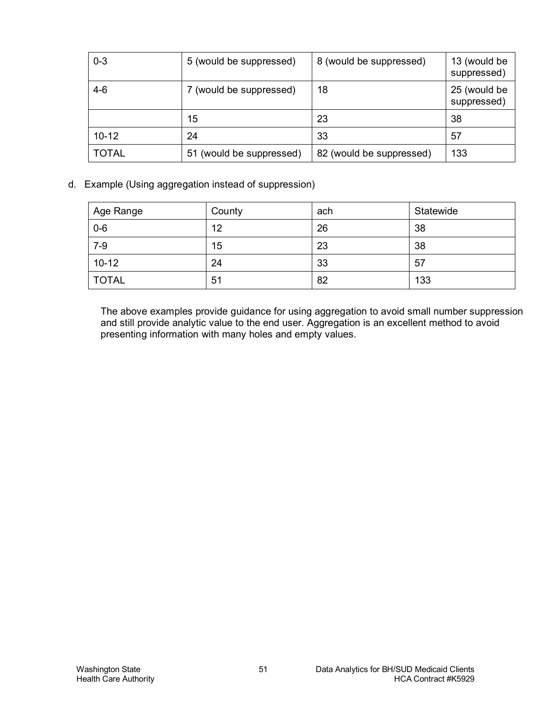| $0 - 3$      | 5 (would be suppressed)  | 8 (would be suppressed)  | 13 (would be<br>suppressed) |
|--------------|--------------------------|--------------------------|-----------------------------|
| 4-6          | 7 (would be suppressed)  | 18                       | 25 (would be<br>suppressed) |
|              | 15                       | 23                       | 38                          |
| $10 - 12$    | 24                       | 33                       | 57                          |
| <b>TOTAL</b> | 51 (would be suppressed) | 82 (would be suppressed) | 133                         |

d. Example (Using aggregation instead of suppression)

| Age Range    | County | ach | Statewide |
|--------------|--------|-----|-----------|
| $0-6$        | 12     | 26  | 38        |
| $7-9$        | 15     | 23  | 38        |
| $10 - 12$    | 24     | 33  | 57        |
| <b>TOTAL</b> | 51     | 82  | 133       |

The above examples provide guidance for using aggregation to avoid small number suppression and still provide analytic value to the end user. Aggregation is an excellent method to avoid presenting information with many holes and empty values.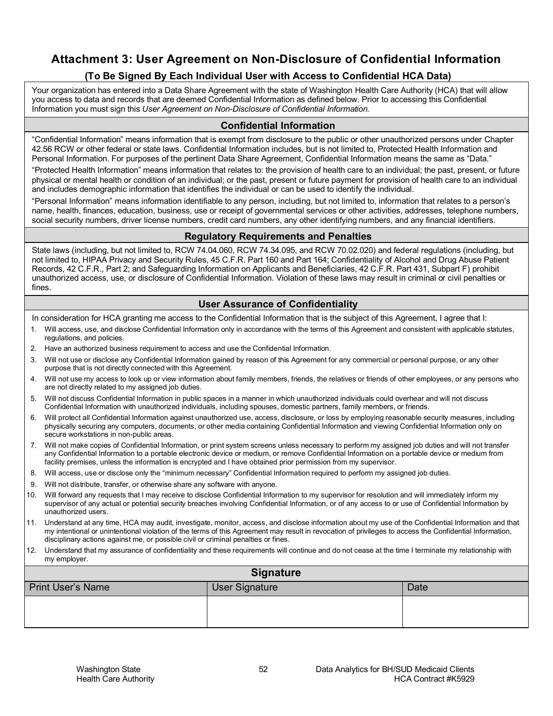## **Attachment 3: User Agreement on Non-Disclosure of Confidential Information**

## **(To Be Signed By Each Individual User with Access to Confidential HCA Data)**

Your organization has entered into a Data Share Agreement with the state of Washington Health Care Authority (HCA) that will allow you access to data and records that are deemed Confidential Information as defined below. Prior to accessing this Confidential Information you must sign this *User Agreement on Non-Disclosure of Confidential Information.*

#### **Confidential Information**

"Confidential Information" means information that is exempt from disclosure to the public or other unauthorized persons under Chapter 42.56 RCW or other federal or state laws. Confidential Information includes, but is not limited to, Protected Health Information and Personal Information. For purposes of the pertinent Data Share Agreement, Confidential Information means the same as "Data."

"Protected Health Information" means information that relates to: the provision of health care to an individual; the past, present, or future physical or mental health or condition of an individual; or the past, present or future payment for provision of health care to an individual and includes demographic information that identifies the individual or can be used to identify the individual.

"Personal Information" means information identifiable to any person, including, but not limited to, information that relates to a person's name, health, finances, education, business, use or receipt of governmental services or other activities, addresses, telephone numbers, social security numbers, driver license numbers, credit card numbers, any other identifying numbers, and any financial identifiers.

#### **Regulatory Requirements and Penalties**

State laws (including, but not limited to, RCW 74.04.060, RCW 74.34.095, and RCW 70.02.020) and federal regulations (including, but not limited to, HIPAA Privacy and Security Rules, 45 C.F.R. Part 160 and Part 164; Confidentiality of Alcohol and Drug Abuse Patient Records, 42 C.F.R., Part 2; and Safeguarding Information on Applicants and Beneficiaries, 42 C.F.R. Part 431, Subpart F) prohibit unauthorized access, use, or disclosure of Confidential Information. Violation of these laws may result in criminal or civil penalties or fines.

#### **User Assurance of Confidentiality**

In consideration for HCA granting me access to the Confidential Information that is the subject of this Agreement, I agree that I:

- 1. Will access, use, and disclose Confidential Information only in accordance with the terms of this Agreement and consistent with applicable statutes, regulations, and policies.
- 2. Have an authorized business requirement to access and use the Confidential Information.
- 3. Will not use or disclose any Confidential Information gained by reason of this Agreement for any commercial or personal purpose, or any other purpose that is not directly connected with this Agreement.
- 4. Will not use my access to look up or view information about family members, friends, the relatives or friends of other employees, or any persons who are not directly related to my assigned job duties.
- 5. Will not discuss Confidential Information in public spaces in a manner in which unauthorized individuals could overhear and will not discuss Confidential Information with unauthorized individuals, including spouses, domestic partners, family members, or friends.
- 6. Will protect all Confidential Information against unauthorized use, access, disclosure, or loss by employing reasonable security measures, including physically securing any computers, documents, or other media containing Confidential Information and viewing Confidential Information only on secure workstations in non-public areas.
- 7. Will not make copies of Confidential Information, or print system screens unless necessary to perform my assigned job duties and will not transfer any Confidential Information to a portable electronic device or medium, or remove Confidential Information on a portable device or medium from facility premises, unless the information is encrypted and I have obtained prior permission from my supervisor.
- 8. Will access, use or disclose only the "minimum necessary" Confidential Information required to perform my assigned job duties.
- 9. Will not distribute, transfer, or otherwise share any software with anyone.
- 10. Will forward any requests that I may receive to disclose Confidential Information to my supervisor for resolution and will immediately inform my supervisor of any actual or potential security breaches involving Confidential Information, or of any access to or use of Confidential Information by unauthorized users.
- 11. Understand at any time, HCA may audit, investigate, monitor, access, and disclose information about my use of the Confidential Information and that my intentional or unintentional violation of the terms of this Agreement may result in revocation of privileges to access the Confidential Information, disciplinary actions against me, or possible civil or criminal penalties or fines.
- 12. Understand that my assurance of confidentiality and these requirements will continue and do not cease at the time I terminate my relationship with my employer.

| <b>Signature</b>         |                |      |
|--------------------------|----------------|------|
| <b>Print User's Name</b> | User Signature | Date |
|                          |                |      |
|                          |                |      |